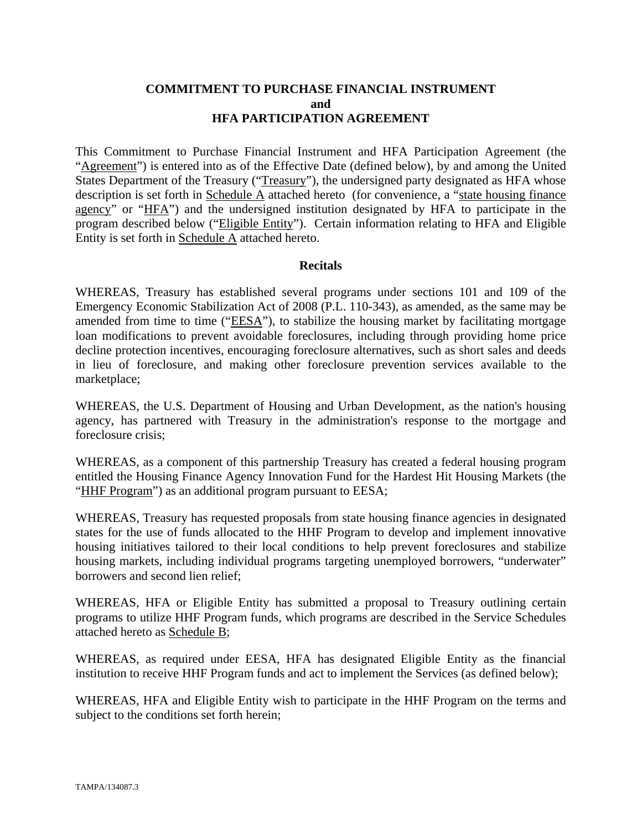## **COMMITMENT TO PURCHASE FINANCIAL INSTRUMENT and HFA PARTICIPATION AGREEMENT**

This Commitment to Purchase Financial Instrument and HFA Participation Agreement (the "Agreement") is entered into as of the Effective Date (defined below), by and among the United States Department of the Treasury ("Treasury"), the undersigned party designated as HFA whose description is set forth in Schedule A attached hereto (for convenience, a "state housing finance agency" or "HFA") and the undersigned institution designated by HFA to participate in the program described below ("Eligible Entity"). Certain information relating to HFA and Eligible Entity is set forth in Schedule A attached hereto.

#### **Recitals**

WHEREAS, Treasury has established several programs under sections 101 and 109 of the Emergency Economic Stabilization Act of 2008 (P.L. 110-343), as amended, as the same may be amended from time to time ("EESA"), to stabilize the housing market by facilitating mortgage loan modifications to prevent avoidable foreclosures, including through providing home price decline protection incentives, encouraging foreclosure alternatives, such as short sales and deeds in lieu of foreclosure, and making other foreclosure prevention services available to the marketplace;

WHEREAS, the U.S. Department of Housing and Urban Development, as the nation's housing agency, has partnered with Treasury in the administration's response to the mortgage and foreclosure crisis;

WHEREAS, as a component of this partnership Treasury has created a federal housing program entitled the Housing Finance Agency Innovation Fund for the Hardest Hit Housing Markets (the "HHF Program") as an additional program pursuant to EESA;

WHEREAS, Treasury has requested proposals from state housing finance agencies in designated states for the use of funds allocated to the HHF Program to develop and implement innovative housing initiatives tailored to their local conditions to help prevent foreclosures and stabilize housing markets, including individual programs targeting unemployed borrowers, "underwater" borrowers and second lien relief;

WHEREAS, HFA or Eligible Entity has submitted a proposal to Treasury outlining certain programs to utilize HHF Program funds, which programs are described in the Service Schedules attached hereto as Schedule B;

WHEREAS, as required under EESA, HFA has designated Eligible Entity as the financial institution to receive HHF Program funds and act to implement the Services (as defined below);

WHEREAS, HFA and Eligible Entity wish to participate in the HHF Program on the terms and subject to the conditions set forth herein;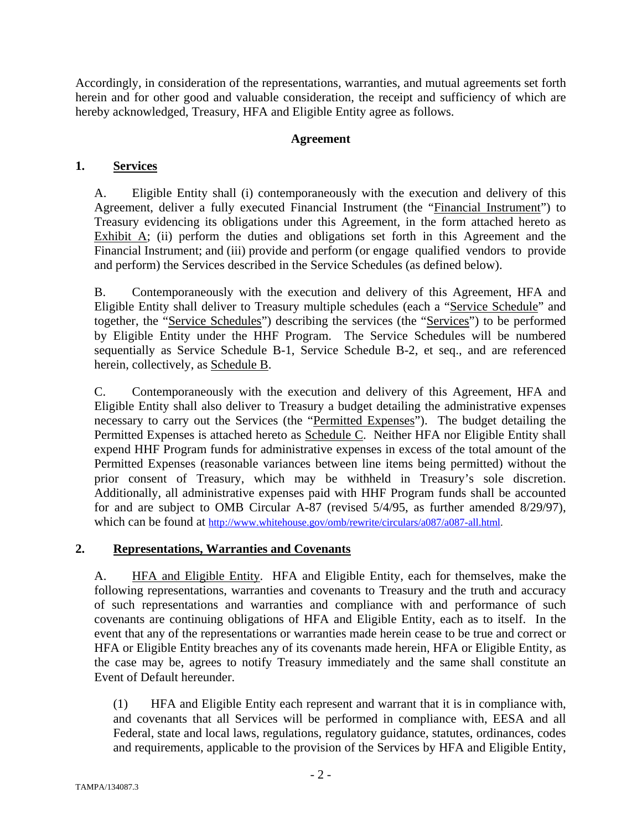Accordingly, in consideration of the representations, warranties, and mutual agreements set forth herein and for other good and valuable consideration, the receipt and sufficiency of which are hereby acknowledged, Treasury, HFA and Eligible Entity agree as follows.

# **Agreement**

# **1. Services**

A. Eligible Entity shall (i) contemporaneously with the execution and delivery of this Agreement, deliver a fully executed Financial Instrument (the "Financial Instrument") to Treasury evidencing its obligations under this Agreement, in the form attached hereto as Exhibit  $\overline{A}$ ; (ii) perform the duties and obligations set forth in this Agreement and the Financial Instrument; and (iii) provide and perform (or engage qualified vendors to provide and perform) the Services described in the Service Schedules (as defined below).

B. Contemporaneously with the execution and delivery of this Agreement, HFA and Eligible Entity shall deliver to Treasury multiple schedules (each a "Service Schedule" and together, the "Service Schedules") describing the services (the "Services") to be performed by Eligible Entity under the HHF Program. The Service Schedules will be numbered sequentially as Service Schedule B-1, Service Schedule B-2, et seq., and are referenced herein, collectively, as Schedule B.

C. Contemporaneously with the execution and delivery of this Agreement, HFA and Eligible Entity shall also deliver to Treasury a budget detailing the administrative expenses necessary to carry out the Services (the "Permitted Expenses"). The budget detailing the Permitted Expenses is attached hereto as Schedule C. Neither HFA nor Eligible Entity shall expend HHF Program funds for administrative expenses in excess of the total amount of the Permitted Expenses (reasonable variances between line items being permitted) without the prior consent of Treasury, which may be withheld in Treasury's sole discretion. Additionally, all administrative expenses paid with HHF Program funds shall be accounted for and are subject to OMB Circular A-87 (revised 5/4/95, as further amended 8/29/97), which can be found at http://www.whitehouse.gov/omb/rewrite/circulars/a087/a087-all.html.

# **2. Representations, Warranties and Covenants**

A. **HFA and Eligible Entity.** HFA and Eligible Entity, each for themselves, make the following representations, warranties and covenants to Treasury and the truth and accuracy of such representations and warranties and compliance with and performance of such covenants are continuing obligations of HFA and Eligible Entity, each as to itself. In the event that any of the representations or warranties made herein cease to be true and correct or HFA or Eligible Entity breaches any of its covenants made herein, HFA or Eligible Entity, as the case may be, agrees to notify Treasury immediately and the same shall constitute an Event of Default hereunder.

(1) HFA and Eligible Entity each represent and warrant that it is in compliance with, and covenants that all Services will be performed in compliance with, EESA and all Federal, state and local laws, regulations, regulatory guidance, statutes, ordinances, codes and requirements, applicable to the provision of the Services by HFA and Eligible Entity,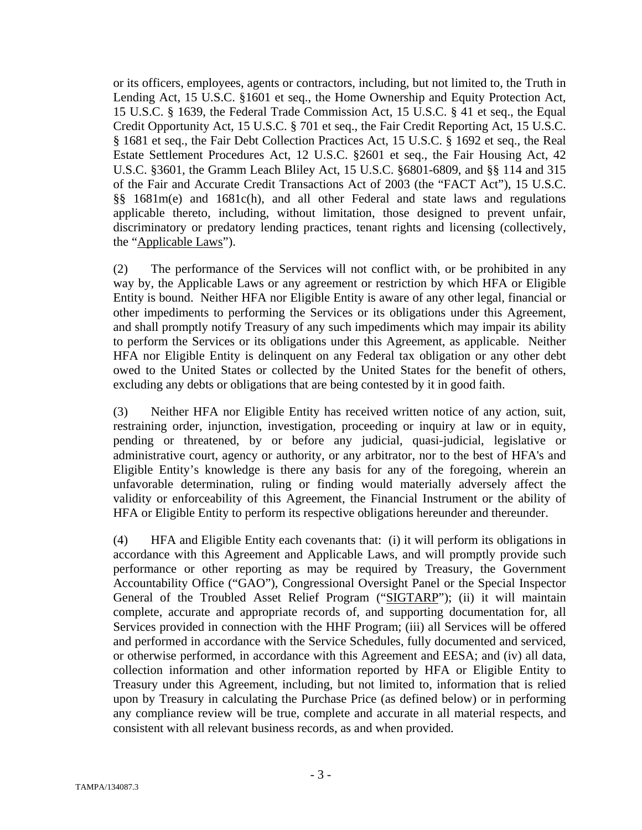or its officers, employees, agents or contractors, including, but not limited to, the Truth in Lending Act, 15 U.S.C. §1601 et seq., the Home Ownership and Equity Protection Act, 15 U.S.C. § 1639, the Federal Trade Commission Act, 15 U.S.C. § 41 et seq., the Equal Credit Opportunity Act, 15 U.S.C. § 701 et seq., the Fair Credit Reporting Act, 15 U.S.C. § 1681 et seq., the Fair Debt Collection Practices Act, 15 U.S.C. § 1692 et seq., the Real Estate Settlement Procedures Act, 12 U.S.C. §2601 et seq., the Fair Housing Act, 42 U.S.C. §3601, the Gramm Leach Bliley Act, 15 U.S.C. §6801-6809, and §§ 114 and 315 of the Fair and Accurate Credit Transactions Act of 2003 (the "FACT Act"), 15 U.S.C. §§ 1681m(e) and 1681c(h), and all other Federal and state laws and regulations applicable thereto, including, without limitation, those designed to prevent unfair, discriminatory or predatory lending practices, tenant rights and licensing (collectively, the "Applicable Laws").

(2) The performance of the Services will not conflict with, or be prohibited in any way by, the Applicable Laws or any agreement or restriction by which HFA or Eligible Entity is bound. Neither HFA nor Eligible Entity is aware of any other legal, financial or other impediments to performing the Services or its obligations under this Agreement, and shall promptly notify Treasury of any such impediments which may impair its ability to perform the Services or its obligations under this Agreement, as applicable. Neither HFA nor Eligible Entity is delinquent on any Federal tax obligation or any other debt owed to the United States or collected by the United States for the benefit of others, excluding any debts or obligations that are being contested by it in good faith.

(3) Neither HFA nor Eligible Entity has received written notice of any action, suit, restraining order, injunction, investigation, proceeding or inquiry at law or in equity, pending or threatened, by or before any judicial, quasi-judicial, legislative or administrative court, agency or authority, or any arbitrator, nor to the best of HFA's and Eligible Entity's knowledge is there any basis for any of the foregoing, wherein an unfavorable determination, ruling or finding would materially adversely affect the validity or enforceability of this Agreement, the Financial Instrument or the ability of HFA or Eligible Entity to perform its respective obligations hereunder and thereunder.

(4) HFA and Eligible Entity each covenants that: (i) it will perform its obligations in accordance with this Agreement and Applicable Laws, and will promptly provide such performance or other reporting as may be required by Treasury, the Government Accountability Office ("GAO"), Congressional Oversight Panel or the Special Inspector General of the Troubled Asset Relief Program ("SIGTARP"); (ii) it will maintain complete, accurate and appropriate records of, and supporting documentation for, all Services provided in connection with the HHF Program; (iii) all Services will be offered and performed in accordance with the Service Schedules, fully documented and serviced, or otherwise performed, in accordance with this Agreement and EESA; and (iv) all data, collection information and other information reported by HFA or Eligible Entity to Treasury under this Agreement, including, but not limited to, information that is relied upon by Treasury in calculating the Purchase Price (as defined below) or in performing any compliance review will be true, complete and accurate in all material respects, and consistent with all relevant business records, as and when provided.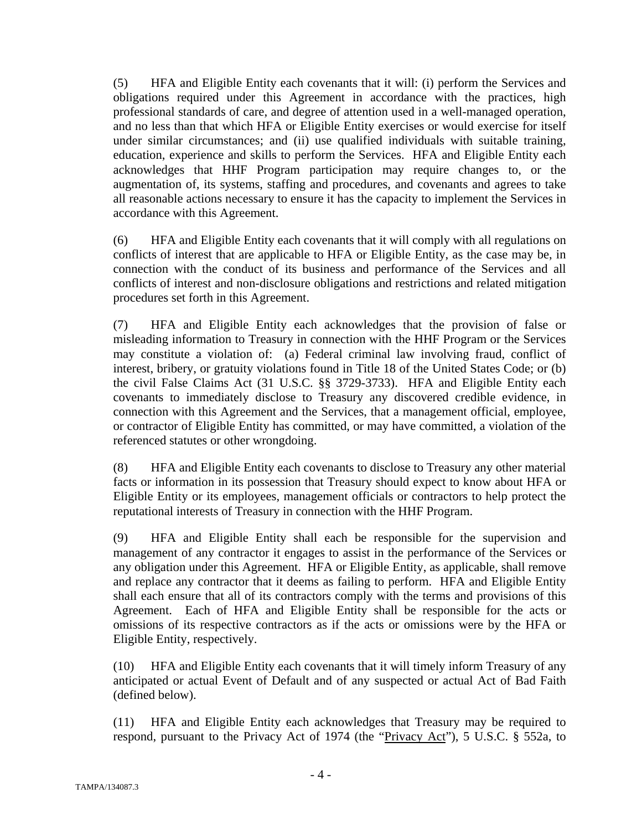(5) HFA and Eligible Entity each covenants that it will: (i) perform the Services and obligations required under this Agreement in accordance with the practices, high professional standards of care, and degree of attention used in a well-managed operation, and no less than that which HFA or Eligible Entity exercises or would exercise for itself under similar circumstances; and (ii) use qualified individuals with suitable training, education, experience and skills to perform the Services. HFA and Eligible Entity each acknowledges that HHF Program participation may require changes to, or the augmentation of, its systems, staffing and procedures, and covenants and agrees to take all reasonable actions necessary to ensure it has the capacity to implement the Services in accordance with this Agreement.

(6) HFA and Eligible Entity each covenants that it will comply with all regulations on conflicts of interest that are applicable to HFA or Eligible Entity, as the case may be, in connection with the conduct of its business and performance of the Services and all conflicts of interest and non-disclosure obligations and restrictions and related mitigation procedures set forth in this Agreement.

(7) HFA and Eligible Entity each acknowledges that the provision of false or misleading information to Treasury in connection with the HHF Program or the Services may constitute a violation of: (a) Federal criminal law involving fraud, conflict of interest, bribery, or gratuity violations found in Title 18 of the United States Code; or (b) the civil False Claims Act (31 U.S.C. §§ 3729-3733). HFA and Eligible Entity each covenants to immediately disclose to Treasury any discovered credible evidence, in connection with this Agreement and the Services, that a management official, employee, or contractor of Eligible Entity has committed, or may have committed, a violation of the referenced statutes or other wrongdoing.

(8) HFA and Eligible Entity each covenants to disclose to Treasury any other material facts or information in its possession that Treasury should expect to know about HFA or Eligible Entity or its employees, management officials or contractors to help protect the reputational interests of Treasury in connection with the HHF Program.

(9) HFA and Eligible Entity shall each be responsible for the supervision and management of any contractor it engages to assist in the performance of the Services or any obligation under this Agreement. HFA or Eligible Entity, as applicable, shall remove and replace any contractor that it deems as failing to perform. HFA and Eligible Entity shall each ensure that all of its contractors comply with the terms and provisions of this Agreement. Each of HFA and Eligible Entity shall be responsible for the acts or omissions of its respective contractors as if the acts or omissions were by the HFA or Eligible Entity, respectively.

(10) HFA and Eligible Entity each covenants that it will timely inform Treasury of any anticipated or actual Event of Default and of any suspected or actual Act of Bad Faith (defined below).

(11) HFA and Eligible Entity each acknowledges that Treasury may be required to respond, pursuant to the Privacy Act of 1974 (the "Privacy Act"), 5 U.S.C. § 552a, to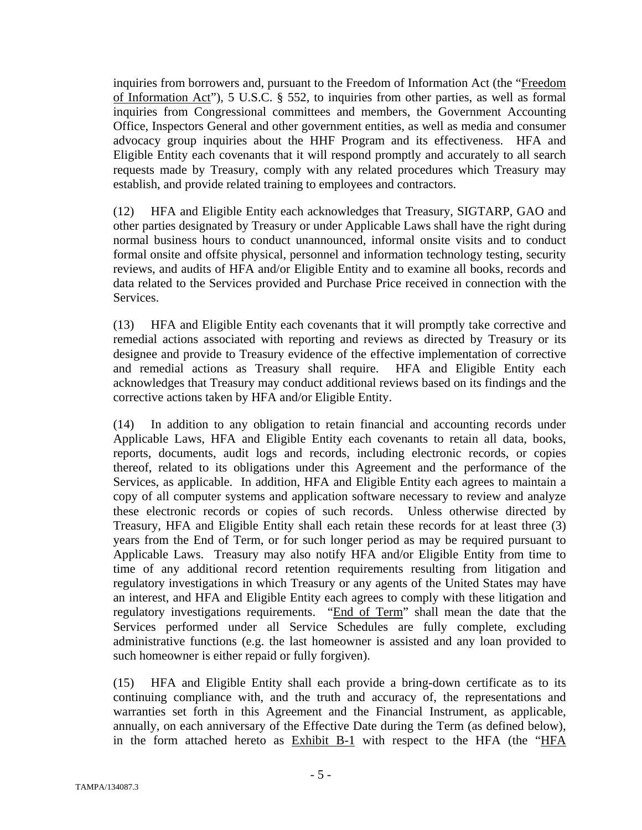inquiries from borrowers and, pursuant to the Freedom of Information Act (the "Freedom of Information Act"), 5 U.S.C. § 552, to inquiries from other parties, as well as formal inquiries from Congressional committees and members, the Government Accounting Office, Inspectors General and other government entities, as well as media and consumer advocacy group inquiries about the HHF Program and its effectiveness. HFA and Eligible Entity each covenants that it will respond promptly and accurately to all search requests made by Treasury, comply with any related procedures which Treasury may establish, and provide related training to employees and contractors.

(12) HFA and Eligible Entity each acknowledges that Treasury, SIGTARP, GAO and other parties designated by Treasury or under Applicable Laws shall have the right during normal business hours to conduct unannounced, informal onsite visits and to conduct formal onsite and offsite physical, personnel and information technology testing, security reviews, and audits of HFA and/or Eligible Entity and to examine all books, records and data related to the Services provided and Purchase Price received in connection with the Services.

(13) HFA and Eligible Entity each covenants that it will promptly take corrective and remedial actions associated with reporting and reviews as directed by Treasury or its designee and provide to Treasury evidence of the effective implementation of corrective and remedial actions as Treasury shall require. HFA and Eligible Entity each acknowledges that Treasury may conduct additional reviews based on its findings and the corrective actions taken by HFA and/or Eligible Entity.

(14) In addition to any obligation to retain financial and accounting records under Applicable Laws, HFA and Eligible Entity each covenants to retain all data, books, reports, documents, audit logs and records, including electronic records, or copies thereof, related to its obligations under this Agreement and the performance of the Services, as applicable. In addition, HFA and Eligible Entity each agrees to maintain a copy of all computer systems and application software necessary to review and analyze these electronic records or copies of such records. Unless otherwise directed by Treasury, HFA and Eligible Entity shall each retain these records for at least three (3) years from the End of Term, or for such longer period as may be required pursuant to Applicable Laws. Treasury may also notify HFA and/or Eligible Entity from time to time of any additional record retention requirements resulting from litigation and regulatory investigations in which Treasury or any agents of the United States may have an interest, and HFA and Eligible Entity each agrees to comply with these litigation and regulatory investigations requirements. "End of Term" shall mean the date that the Services performed under all Service Schedules are fully complete, excluding administrative functions (e.g. the last homeowner is assisted and any loan provided to such homeowner is either repaid or fully forgiven).

(15) HFA and Eligible Entity shall each provide a bring-down certificate as to its continuing compliance with, and the truth and accuracy of, the representations and warranties set forth in this Agreement and the Financial Instrument, as applicable, annually, on each anniversary of the Effective Date during the Term (as defined below), in the form attached hereto as Exhibit B-1 with respect to the HFA (the "HFA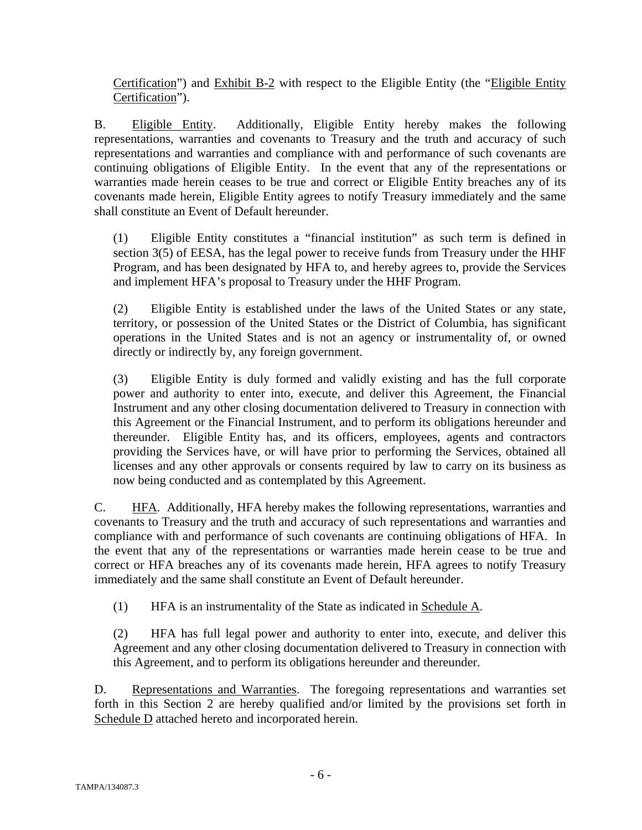Certification") and Exhibit B-2 with respect to the Eligible Entity (the "Eligible Entity Certification").

B. Eligible Entity. Additionally, Eligible Entity hereby makes the following representations, warranties and covenants to Treasury and the truth and accuracy of such representations and warranties and compliance with and performance of such covenants are continuing obligations of Eligible Entity. In the event that any of the representations or warranties made herein ceases to be true and correct or Eligible Entity breaches any of its covenants made herein, Eligible Entity agrees to notify Treasury immediately and the same shall constitute an Event of Default hereunder.

(1) Eligible Entity constitutes a "financial institution" as such term is defined in section 3(5) of EESA, has the legal power to receive funds from Treasury under the HHF Program, and has been designated by HFA to, and hereby agrees to, provide the Services and implement HFA's proposal to Treasury under the HHF Program.

(2) Eligible Entity is established under the laws of the United States or any state, territory, or possession of the United States or the District of Columbia, has significant operations in the United States and is not an agency or instrumentality of, or owned directly or indirectly by, any foreign government.

(3) Eligible Entity is duly formed and validly existing and has the full corporate power and authority to enter into, execute, and deliver this Agreement, the Financial Instrument and any other closing documentation delivered to Treasury in connection with this Agreement or the Financial Instrument, and to perform its obligations hereunder and thereunder. Eligible Entity has, and its officers, employees, agents and contractors providing the Services have, or will have prior to performing the Services, obtained all licenses and any other approvals or consents required by law to carry on its business as now being conducted and as contemplated by this Agreement.

C. HFA. Additionally, HFA hereby makes the following representations, warranties and covenants to Treasury and the truth and accuracy of such representations and warranties and compliance with and performance of such covenants are continuing obligations of HFA. In the event that any of the representations or warranties made herein cease to be true and correct or HFA breaches any of its covenants made herein, HFA agrees to notify Treasury immediately and the same shall constitute an Event of Default hereunder.

(1) HFA is an instrumentality of the State as indicated in Schedule A.

(2) HFA has full legal power and authority to enter into, execute, and deliver this Agreement and any other closing documentation delivered to Treasury in connection with this Agreement, and to perform its obligations hereunder and thereunder.

D. Representations and Warranties. The foregoing representations and warranties set forth in this Section 2 are hereby qualified and/or limited by the provisions set forth in Schedule D attached hereto and incorporated herein.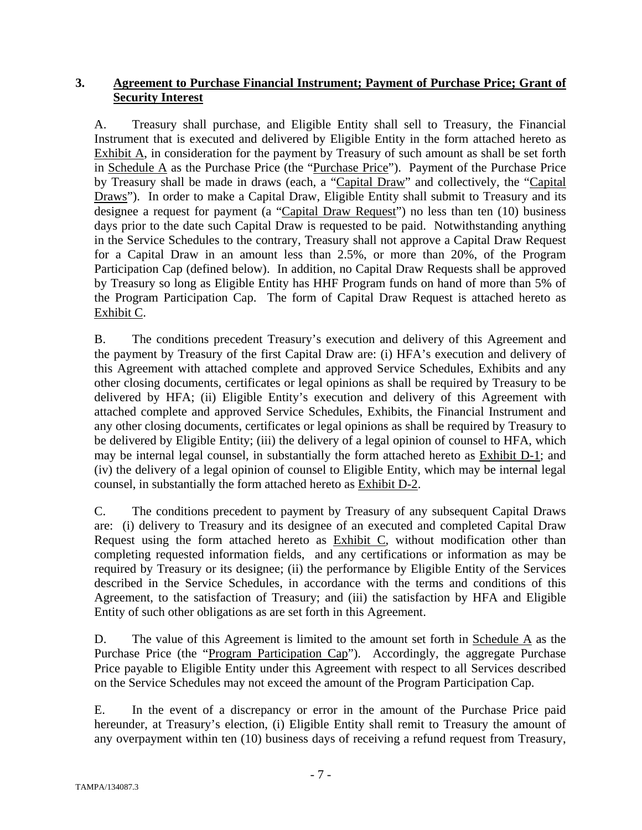# **3. Agreement to Purchase Financial Instrument; Payment of Purchase Price; Grant of Security Interest**

A. Treasury shall purchase, and Eligible Entity shall sell to Treasury, the Financial Instrument that is executed and delivered by Eligible Entity in the form attached hereto as Exhibit A, in consideration for the payment by Treasury of such amount as shall be set forth in Schedule A as the Purchase Price (the "Purchase Price"). Payment of the Purchase Price by Treasury shall be made in draws (each, a "Capital Draw" and collectively, the "Capital Draws"). In order to make a Capital Draw, Eligible Entity shall submit to Treasury and its designee a request for payment (a "Capital Draw Request") no less than ten (10) business days prior to the date such Capital Draw is requested to be paid. Notwithstanding anything in the Service Schedules to the contrary, Treasury shall not approve a Capital Draw Request for a Capital Draw in an amount less than 2.5%, or more than 20%, of the Program Participation Cap (defined below). In addition, no Capital Draw Requests shall be approved by Treasury so long as Eligible Entity has HHF Program funds on hand of more than 5% of the Program Participation Cap. The form of Capital Draw Request is attached hereto as Exhibit C.

B. The conditions precedent Treasury's execution and delivery of this Agreement and the payment by Treasury of the first Capital Draw are: (i) HFA's execution and delivery of this Agreement with attached complete and approved Service Schedules, Exhibits and any other closing documents, certificates or legal opinions as shall be required by Treasury to be delivered by HFA; (ii) Eligible Entity's execution and delivery of this Agreement with attached complete and approved Service Schedules, Exhibits, the Financial Instrument and any other closing documents, certificates or legal opinions as shall be required by Treasury to be delivered by Eligible Entity; (iii) the delivery of a legal opinion of counsel to HFA, which may be internal legal counsel, in substantially the form attached hereto as Exhibit D-1; and (iv) the delivery of a legal opinion of counsel to Eligible Entity, which may be internal legal counsel, in substantially the form attached hereto as Exhibit D-2.

C. The conditions precedent to payment by Treasury of any subsequent Capital Draws are: (i) delivery to Treasury and its designee of an executed and completed Capital Draw Request using the form attached hereto as Exhibit C, without modification other than completing requested information fields, and any certifications or information as may be required by Treasury or its designee; (ii) the performance by Eligible Entity of the Services described in the Service Schedules, in accordance with the terms and conditions of this Agreement, to the satisfaction of Treasury; and (iii) the satisfaction by HFA and Eligible Entity of such other obligations as are set forth in this Agreement.

D. The value of this Agreement is limited to the amount set forth in Schedule  $\overline{A}$  as the Purchase Price (the "Program Participation Cap"). Accordingly, the aggregate Purchase Price payable to Eligible Entity under this Agreement with respect to all Services described on the Service Schedules may not exceed the amount of the Program Participation Cap.

E. In the event of a discrepancy or error in the amount of the Purchase Price paid hereunder, at Treasury's election, (i) Eligible Entity shall remit to Treasury the amount of any overpayment within ten (10) business days of receiving a refund request from Treasury,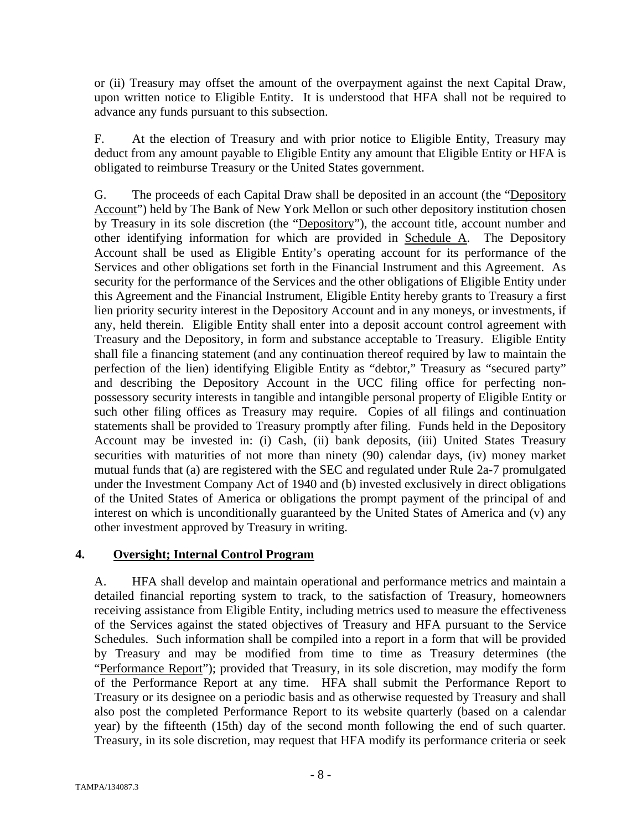or (ii) Treasury may offset the amount of the overpayment against the next Capital Draw, upon written notice to Eligible Entity. It is understood that HFA shall not be required to advance any funds pursuant to this subsection.

F. At the election of Treasury and with prior notice to Eligible Entity, Treasury may deduct from any amount payable to Eligible Entity any amount that Eligible Entity or HFA is obligated to reimburse Treasury or the United States government.

G. The proceeds of each Capital Draw shall be deposited in an account (the "Depository Account") held by The Bank of New York Mellon or such other depository institution chosen by Treasury in its sole discretion (the "Depository"), the account title, account number and other identifying information for which are provided in Schedule A. The Depository Account shall be used as Eligible Entity's operating account for its performance of the Services and other obligations set forth in the Financial Instrument and this Agreement. As security for the performance of the Services and the other obligations of Eligible Entity under this Agreement and the Financial Instrument, Eligible Entity hereby grants to Treasury a first lien priority security interest in the Depository Account and in any moneys, or investments, if any, held therein. Eligible Entity shall enter into a deposit account control agreement with Treasury and the Depository, in form and substance acceptable to Treasury. Eligible Entity shall file a financing statement (and any continuation thereof required by law to maintain the perfection of the lien) identifying Eligible Entity as "debtor," Treasury as "secured party" and describing the Depository Account in the UCC filing office for perfecting nonpossessory security interests in tangible and intangible personal property of Eligible Entity or such other filing offices as Treasury may require. Copies of all filings and continuation statements shall be provided to Treasury promptly after filing. Funds held in the Depository Account may be invested in: (i) Cash, (ii) bank deposits, (iii) United States Treasury securities with maturities of not more than ninety (90) calendar days, (iv) money market mutual funds that (a) are registered with the SEC and regulated under Rule 2a-7 promulgated under the Investment Company Act of 1940 and (b) invested exclusively in direct obligations of the United States of America or obligations the prompt payment of the principal of and interest on which is unconditionally guaranteed by the United States of America and (v) any other investment approved by Treasury in writing.

# **4. Oversight; Internal Control Program**

A. HFA shall develop and maintain operational and performance metrics and maintain a detailed financial reporting system to track, to the satisfaction of Treasury, homeowners receiving assistance from Eligible Entity, including metrics used to measure the effectiveness of the Services against the stated objectives of Treasury and HFA pursuant to the Service Schedules. Such information shall be compiled into a report in a form that will be provided by Treasury and may be modified from time to time as Treasury determines (the "Performance Report"); provided that Treasury, in its sole discretion, may modify the form of the Performance Report at any time. HFA shall submit the Performance Report to Treasury or its designee on a periodic basis and as otherwise requested by Treasury and shall also post the completed Performance Report to its website quarterly (based on a calendar year) by the fifteenth (15th) day of the second month following the end of such quarter. Treasury, in its sole discretion, may request that HFA modify its performance criteria or seek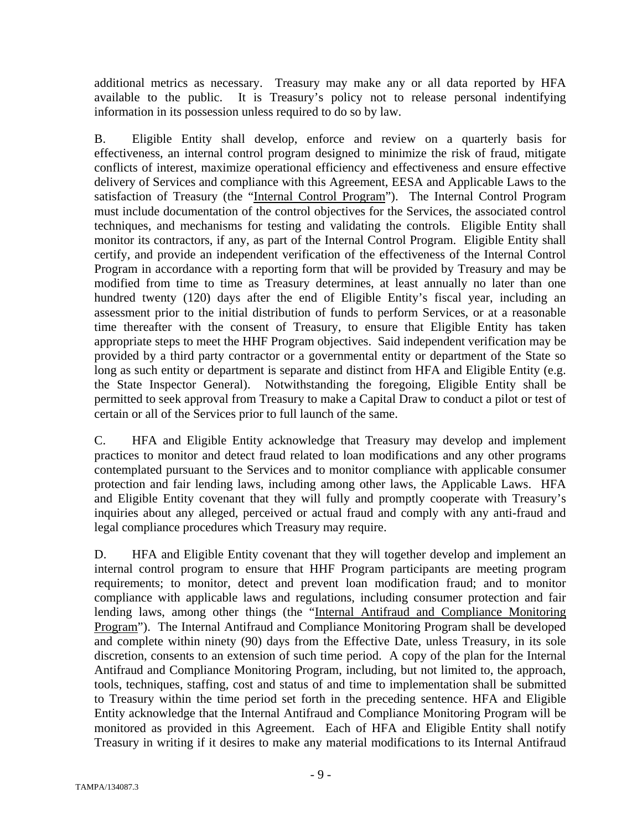additional metrics as necessary. Treasury may make any or all data reported by HFA available to the public. It is Treasury's policy not to release personal indentifying information in its possession unless required to do so by law.

B. Eligible Entity shall develop, enforce and review on a quarterly basis for effectiveness, an internal control program designed to minimize the risk of fraud, mitigate conflicts of interest, maximize operational efficiency and effectiveness and ensure effective delivery of Services and compliance with this Agreement, EESA and Applicable Laws to the satisfaction of Treasury (the "Internal Control Program"). The Internal Control Program must include documentation of the control objectives for the Services, the associated control techniques, and mechanisms for testing and validating the controls. Eligible Entity shall monitor its contractors, if any, as part of the Internal Control Program. Eligible Entity shall certify, and provide an independent verification of the effectiveness of the Internal Control Program in accordance with a reporting form that will be provided by Treasury and may be modified from time to time as Treasury determines, at least annually no later than one hundred twenty (120) days after the end of Eligible Entity's fiscal year, including an assessment prior to the initial distribution of funds to perform Services, or at a reasonable time thereafter with the consent of Treasury, to ensure that Eligible Entity has taken appropriate steps to meet the HHF Program objectives. Said independent verification may be provided by a third party contractor or a governmental entity or department of the State so long as such entity or department is separate and distinct from HFA and Eligible Entity (e.g. the State Inspector General). Notwithstanding the foregoing, Eligible Entity shall be permitted to seek approval from Treasury to make a Capital Draw to conduct a pilot or test of certain or all of the Services prior to full launch of the same.

C. HFA and Eligible Entity acknowledge that Treasury may develop and implement practices to monitor and detect fraud related to loan modifications and any other programs contemplated pursuant to the Services and to monitor compliance with applicable consumer protection and fair lending laws, including among other laws, the Applicable Laws. HFA and Eligible Entity covenant that they will fully and promptly cooperate with Treasury's inquiries about any alleged, perceived or actual fraud and comply with any anti-fraud and legal compliance procedures which Treasury may require.

D. HFA and Eligible Entity covenant that they will together develop and implement an internal control program to ensure that HHF Program participants are meeting program requirements; to monitor, detect and prevent loan modification fraud; and to monitor compliance with applicable laws and regulations, including consumer protection and fair lending laws, among other things (the "Internal Antifraud and Compliance Monitoring Program"). The Internal Antifraud and Compliance Monitoring Program shall be developed and complete within ninety (90) days from the Effective Date, unless Treasury, in its sole discretion, consents to an extension of such time period. A copy of the plan for the Internal Antifraud and Compliance Monitoring Program, including, but not limited to, the approach, tools, techniques, staffing, cost and status of and time to implementation shall be submitted to Treasury within the time period set forth in the preceding sentence. HFA and Eligible Entity acknowledge that the Internal Antifraud and Compliance Monitoring Program will be monitored as provided in this Agreement. Each of HFA and Eligible Entity shall notify Treasury in writing if it desires to make any material modifications to its Internal Antifraud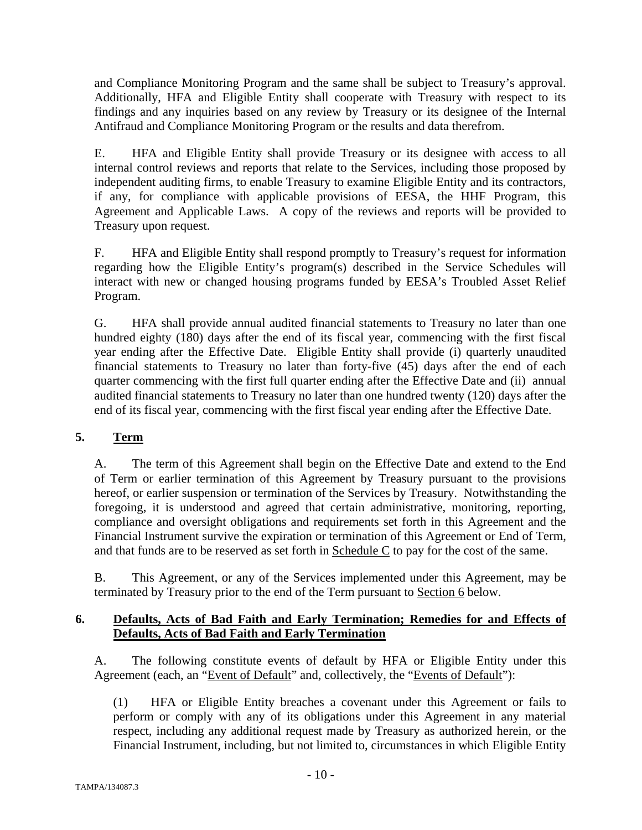and Compliance Monitoring Program and the same shall be subject to Treasury's approval. Additionally, HFA and Eligible Entity shall cooperate with Treasury with respect to its findings and any inquiries based on any review by Treasury or its designee of the Internal Antifraud and Compliance Monitoring Program or the results and data therefrom.

E. HFA and Eligible Entity shall provide Treasury or its designee with access to all internal control reviews and reports that relate to the Services, including those proposed by independent auditing firms, to enable Treasury to examine Eligible Entity and its contractors, if any, for compliance with applicable provisions of EESA, the HHF Program, this Agreement and Applicable Laws. A copy of the reviews and reports will be provided to Treasury upon request.

F. HFA and Eligible Entity shall respond promptly to Treasury's request for information regarding how the Eligible Entity's program(s) described in the Service Schedules will interact with new or changed housing programs funded by EESA's Troubled Asset Relief Program.

G. HFA shall provide annual audited financial statements to Treasury no later than one hundred eighty (180) days after the end of its fiscal year, commencing with the first fiscal year ending after the Effective Date. Eligible Entity shall provide (i) quarterly unaudited financial statements to Treasury no later than forty-five (45) days after the end of each quarter commencing with the first full quarter ending after the Effective Date and (ii) annual audited financial statements to Treasury no later than one hundred twenty (120) days after the end of its fiscal year, commencing with the first fiscal year ending after the Effective Date.

# **5. Term**

A. The term of this Agreement shall begin on the Effective Date and extend to the End of Term or earlier termination of this Agreement by Treasury pursuant to the provisions hereof, or earlier suspension or termination of the Services by Treasury. Notwithstanding the foregoing, it is understood and agreed that certain administrative, monitoring, reporting, compliance and oversight obligations and requirements set forth in this Agreement and the Financial Instrument survive the expiration or termination of this Agreement or End of Term, and that funds are to be reserved as set forth in Schedule C to pay for the cost of the same.

B. This Agreement, or any of the Services implemented under this Agreement, may be terminated by Treasury prior to the end of the Term pursuant to Section 6 below.

# **6. Defaults, Acts of Bad Faith and Early Termination; Remedies for and Effects of Defaults, Acts of Bad Faith and Early Termination**

A. The following constitute events of default by HFA or Eligible Entity under this Agreement (each, an "Event of Default" and, collectively, the "Events of Default"):

(1) HFA or Eligible Entity breaches a covenant under this Agreement or fails to perform or comply with any of its obligations under this Agreement in any material respect, including any additional request made by Treasury as authorized herein, or the Financial Instrument, including, but not limited to, circumstances in which Eligible Entity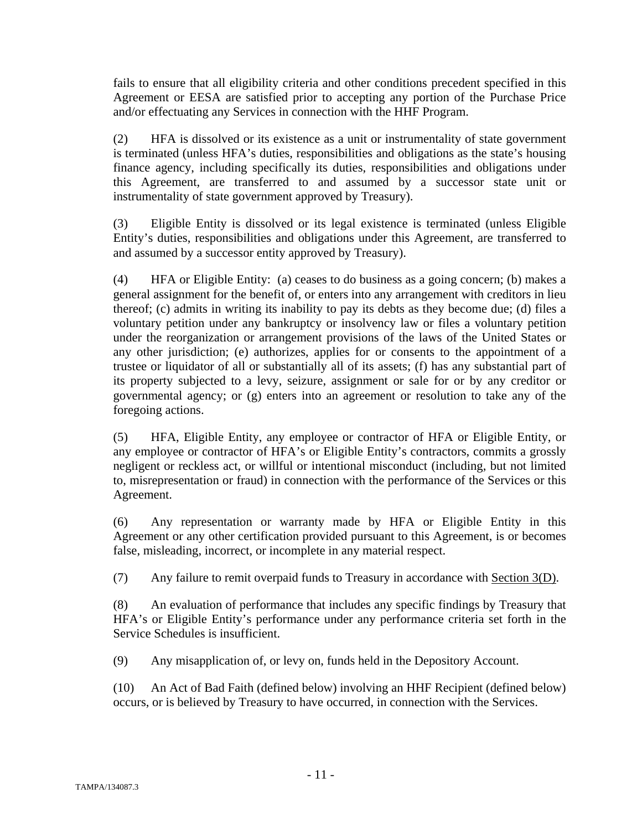fails to ensure that all eligibility criteria and other conditions precedent specified in this Agreement or EESA are satisfied prior to accepting any portion of the Purchase Price and/or effectuating any Services in connection with the HHF Program.

(2) HFA is dissolved or its existence as a unit or instrumentality of state government is terminated (unless HFA's duties, responsibilities and obligations as the state's housing finance agency, including specifically its duties, responsibilities and obligations under this Agreement, are transferred to and assumed by a successor state unit or instrumentality of state government approved by Treasury).

(3) Eligible Entity is dissolved or its legal existence is terminated (unless Eligible Entity's duties, responsibilities and obligations under this Agreement, are transferred to and assumed by a successor entity approved by Treasury).

(4) HFA or Eligible Entity: (a) ceases to do business as a going concern; (b) makes a general assignment for the benefit of, or enters into any arrangement with creditors in lieu thereof; (c) admits in writing its inability to pay its debts as they become due; (d) files a voluntary petition under any bankruptcy or insolvency law or files a voluntary petition under the reorganization or arrangement provisions of the laws of the United States or any other jurisdiction; (e) authorizes, applies for or consents to the appointment of a trustee or liquidator of all or substantially all of its assets; (f) has any substantial part of its property subjected to a levy, seizure, assignment or sale for or by any creditor or governmental agency; or (g) enters into an agreement or resolution to take any of the foregoing actions.

(5) HFA, Eligible Entity, any employee or contractor of HFA or Eligible Entity, or any employee or contractor of HFA's or Eligible Entity's contractors, commits a grossly negligent or reckless act, or willful or intentional misconduct (including, but not limited to, misrepresentation or fraud) in connection with the performance of the Services or this Agreement.

(6) Any representation or warranty made by HFA or Eligible Entity in this Agreement or any other certification provided pursuant to this Agreement, is or becomes false, misleading, incorrect, or incomplete in any material respect.

(7) Any failure to remit overpaid funds to Treasury in accordance with Section 3(D).

(8) An evaluation of performance that includes any specific findings by Treasury that HFA's or Eligible Entity's performance under any performance criteria set forth in the Service Schedules is insufficient.

(9) Any misapplication of, or levy on, funds held in the Depository Account.

(10) An Act of Bad Faith (defined below) involving an HHF Recipient (defined below) occurs, or is believed by Treasury to have occurred, in connection with the Services.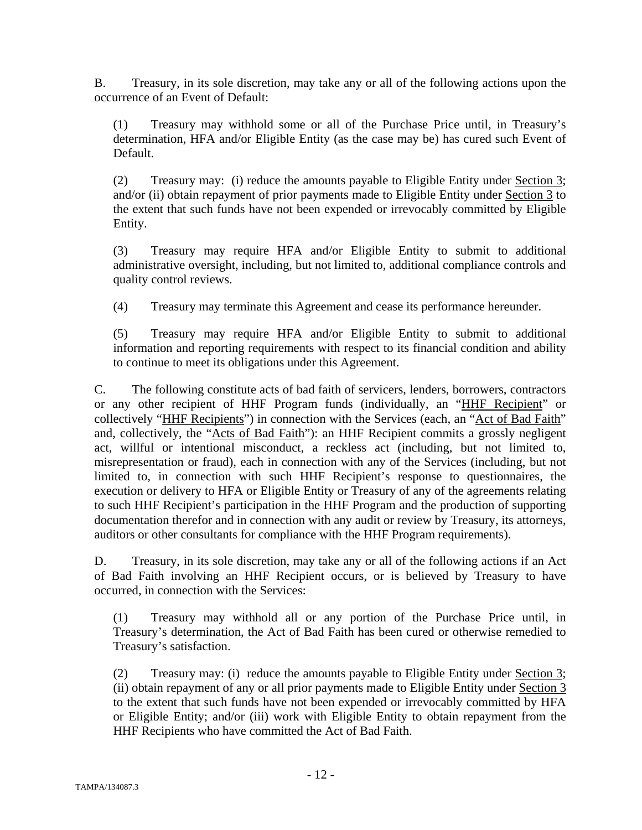B. Treasury, in its sole discretion, may take any or all of the following actions upon the occurrence of an Event of Default:

(1) Treasury may withhold some or all of the Purchase Price until, in Treasury's determination, HFA and/or Eligible Entity (as the case may be) has cured such Event of Default.

(2) Treasury may: (i) reduce the amounts payable to Eligible Entity under Section 3; and/or (ii) obtain repayment of prior payments made to Eligible Entity under Section 3 to the extent that such funds have not been expended or irrevocably committed by Eligible Entity.

(3) Treasury may require HFA and/or Eligible Entity to submit to additional administrative oversight, including, but not limited to, additional compliance controls and quality control reviews.

(4) Treasury may terminate this Agreement and cease its performance hereunder.

(5) Treasury may require HFA and/or Eligible Entity to submit to additional information and reporting requirements with respect to its financial condition and ability to continue to meet its obligations under this Agreement.

C. The following constitute acts of bad faith of servicers, lenders, borrowers, contractors or any other recipient of HHF Program funds (individually, an "HHF Recipient" or collectively "HHF Recipients") in connection with the Services (each, an "Act of Bad Faith" and, collectively, the "Acts of Bad Faith"): an HHF Recipient commits a grossly negligent act, willful or intentional misconduct, a reckless act (including, but not limited to, misrepresentation or fraud), each in connection with any of the Services (including, but not limited to, in connection with such HHF Recipient's response to questionnaires, the execution or delivery to HFA or Eligible Entity or Treasury of any of the agreements relating to such HHF Recipient's participation in the HHF Program and the production of supporting documentation therefor and in connection with any audit or review by Treasury, its attorneys, auditors or other consultants for compliance with the HHF Program requirements).

D. Treasury, in its sole discretion, may take any or all of the following actions if an Act of Bad Faith involving an HHF Recipient occurs, or is believed by Treasury to have occurred, in connection with the Services:

(1) Treasury may withhold all or any portion of the Purchase Price until, in Treasury's determination, the Act of Bad Faith has been cured or otherwise remedied to Treasury's satisfaction.

(2) Treasury may: (i) reduce the amounts payable to Eligible Entity under Section 3; (ii) obtain repayment of any or all prior payments made to Eligible Entity under Section 3 to the extent that such funds have not been expended or irrevocably committed by HFA or Eligible Entity; and/or (iii) work with Eligible Entity to obtain repayment from the HHF Recipients who have committed the Act of Bad Faith.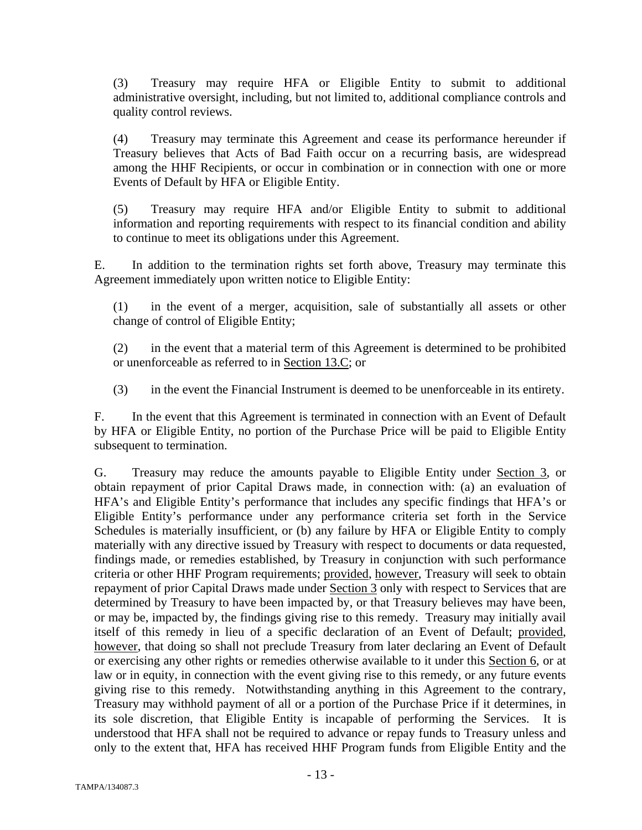(3) Treasury may require HFA or Eligible Entity to submit to additional administrative oversight, including, but not limited to, additional compliance controls and quality control reviews.

(4) Treasury may terminate this Agreement and cease its performance hereunder if Treasury believes that Acts of Bad Faith occur on a recurring basis, are widespread among the HHF Recipients, or occur in combination or in connection with one or more Events of Default by HFA or Eligible Entity.

(5) Treasury may require HFA and/or Eligible Entity to submit to additional information and reporting requirements with respect to its financial condition and ability to continue to meet its obligations under this Agreement.

E. In addition to the termination rights set forth above, Treasury may terminate this Agreement immediately upon written notice to Eligible Entity:

(1) in the event of a merger, acquisition, sale of substantially all assets or other change of control of Eligible Entity;

(2) in the event that a material term of this Agreement is determined to be prohibited or unenforceable as referred to in Section 13.C; or

(3) in the event the Financial Instrument is deemed to be unenforceable in its entirety.

F. In the event that this Agreement is terminated in connection with an Event of Default by HFA or Eligible Entity, no portion of the Purchase Price will be paid to Eligible Entity subsequent to termination.

G. Treasury may reduce the amounts payable to Eligible Entity under Section 3, or obtain repayment of prior Capital Draws made, in connection with: (a) an evaluation of HFA's and Eligible Entity's performance that includes any specific findings that HFA's or Eligible Entity's performance under any performance criteria set forth in the Service Schedules is materially insufficient, or (b) any failure by HFA or Eligible Entity to comply materially with any directive issued by Treasury with respect to documents or data requested, findings made, or remedies established, by Treasury in conjunction with such performance criteria or other HHF Program requirements; provided, however, Treasury will seek to obtain repayment of prior Capital Draws made under Section 3 only with respect to Services that are determined by Treasury to have been impacted by, or that Treasury believes may have been, or may be, impacted by, the findings giving rise to this remedy. Treasury may initially avail itself of this remedy in lieu of a specific declaration of an Event of Default; provided, however, that doing so shall not preclude Treasury from later declaring an Event of Default or exercising any other rights or remedies otherwise available to it under this Section 6, or at law or in equity, in connection with the event giving rise to this remedy, or any future events giving rise to this remedy. Notwithstanding anything in this Agreement to the contrary, Treasury may withhold payment of all or a portion of the Purchase Price if it determines, in its sole discretion, that Eligible Entity is incapable of performing the Services. It is understood that HFA shall not be required to advance or repay funds to Treasury unless and only to the extent that, HFA has received HHF Program funds from Eligible Entity and the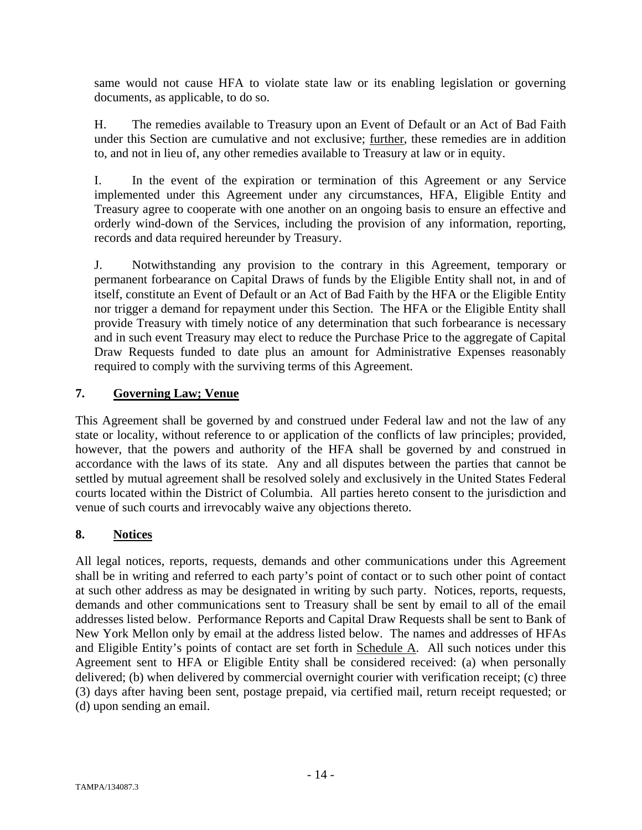same would not cause HFA to violate state law or its enabling legislation or governing documents, as applicable, to do so.

H. The remedies available to Treasury upon an Event of Default or an Act of Bad Faith under this Section are cumulative and not exclusive; further, these remedies are in addition to, and not in lieu of, any other remedies available to Treasury at law or in equity.

I. In the event of the expiration or termination of this Agreement or any Service implemented under this Agreement under any circumstances, HFA, Eligible Entity and Treasury agree to cooperate with one another on an ongoing basis to ensure an effective and orderly wind-down of the Services, including the provision of any information, reporting, records and data required hereunder by Treasury.

J. Notwithstanding any provision to the contrary in this Agreement, temporary or permanent forbearance on Capital Draws of funds by the Eligible Entity shall not, in and of itself, constitute an Event of Default or an Act of Bad Faith by the HFA or the Eligible Entity nor trigger a demand for repayment under this Section. The HFA or the Eligible Entity shall provide Treasury with timely notice of any determination that such forbearance is necessary and in such event Treasury may elect to reduce the Purchase Price to the aggregate of Capital Draw Requests funded to date plus an amount for Administrative Expenses reasonably required to comply with the surviving terms of this Agreement.

# **7. Governing Law; Venue**

This Agreement shall be governed by and construed under Federal law and not the law of any state or locality, without reference to or application of the conflicts of law principles; provided, however, that the powers and authority of the HFA shall be governed by and construed in accordance with the laws of its state. Any and all disputes between the parties that cannot be settled by mutual agreement shall be resolved solely and exclusively in the United States Federal courts located within the District of Columbia. All parties hereto consent to the jurisdiction and venue of such courts and irrevocably waive any objections thereto.

# **8. Notices**

All legal notices, reports, requests, demands and other communications under this Agreement shall be in writing and referred to each party's point of contact or to such other point of contact at such other address as may be designated in writing by such party. Notices, reports, requests, demands and other communications sent to Treasury shall be sent by email to all of the email addresses listed below. Performance Reports and Capital Draw Requests shall be sent to Bank of New York Mellon only by email at the address listed below. The names and addresses of HFAs and Eligible Entity's points of contact are set forth in Schedule A. All such notices under this Agreement sent to HFA or Eligible Entity shall be considered received: (a) when personally delivered; (b) when delivered by commercial overnight courier with verification receipt; (c) three (3) days after having been sent, postage prepaid, via certified mail, return receipt requested; or (d) upon sending an email.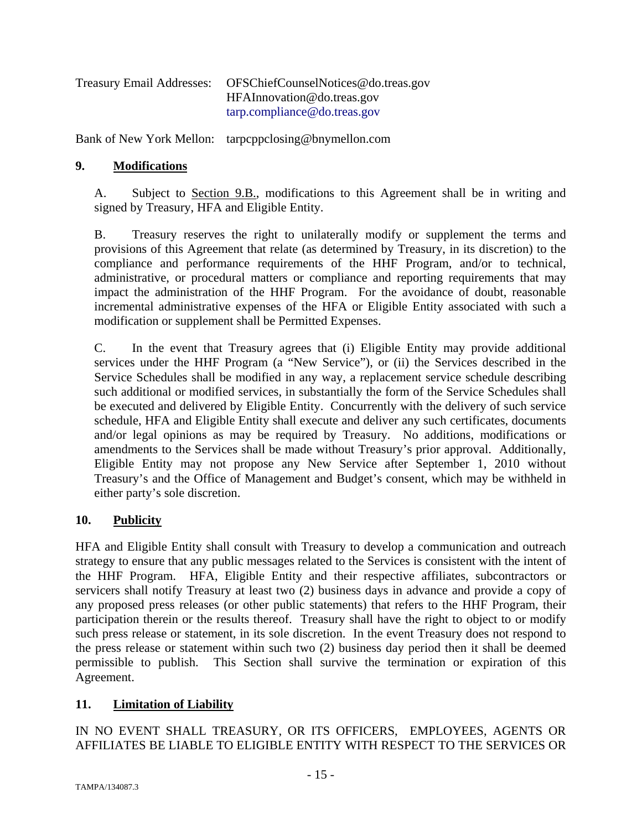| <b>Treasury Email Addresses:</b> | OFSChiefCounselNotices@do.treas.gov |
|----------------------------------|-------------------------------------|
|                                  | HFAInnovation@do.treas.gov          |
|                                  | tarp.compline@do.treas.gov          |

Bank of New York Mellon: tarpcppclosing@bnymellon.com

## **9. Modifications**

A. Subject to Section 9.B., modifications to this Agreement shall be in writing and signed by Treasury, HFA and Eligible Entity.

B. Treasury reserves the right to unilaterally modify or supplement the terms and provisions of this Agreement that relate (as determined by Treasury, in its discretion) to the compliance and performance requirements of the HHF Program, and/or to technical, administrative, or procedural matters or compliance and reporting requirements that may impact the administration of the HHF Program. For the avoidance of doubt, reasonable incremental administrative expenses of the HFA or Eligible Entity associated with such a modification or supplement shall be Permitted Expenses.

C. In the event that Treasury agrees that (i) Eligible Entity may provide additional services under the HHF Program (a "New Service"), or (ii) the Services described in the Service Schedules shall be modified in any way, a replacement service schedule describing such additional or modified services, in substantially the form of the Service Schedules shall be executed and delivered by Eligible Entity. Concurrently with the delivery of such service schedule, HFA and Eligible Entity shall execute and deliver any such certificates, documents and/or legal opinions as may be required by Treasury. No additions, modifications or amendments to the Services shall be made without Treasury's prior approval. Additionally, Eligible Entity may not propose any New Service after September 1, 2010 without Treasury's and the Office of Management and Budget's consent, which may be withheld in either party's sole discretion.

# **10. Publicity**

HFA and Eligible Entity shall consult with Treasury to develop a communication and outreach strategy to ensure that any public messages related to the Services is consistent with the intent of the HHF Program. HFA, Eligible Entity and their respective affiliates, subcontractors or servicers shall notify Treasury at least two (2) business days in advance and provide a copy of any proposed press releases (or other public statements) that refers to the HHF Program, their participation therein or the results thereof. Treasury shall have the right to object to or modify such press release or statement, in its sole discretion. In the event Treasury does not respond to the press release or statement within such two (2) business day period then it shall be deemed permissible to publish. This Section shall survive the termination or expiration of this Agreement.

# **11. Limitation of Liability**

IN NO EVENT SHALL TREASURY, OR ITS OFFICERS, EMPLOYEES, AGENTS OR AFFILIATES BE LIABLE TO ELIGIBLE ENTITY WITH RESPECT TO THE SERVICES OR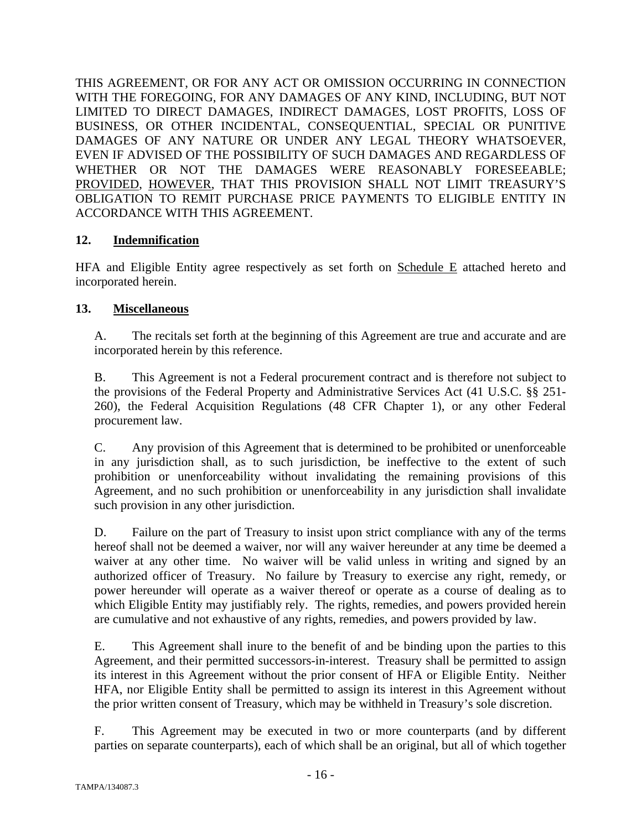THIS AGREEMENT, OR FOR ANY ACT OR OMISSION OCCURRING IN CONNECTION WITH THE FOREGOING, FOR ANY DAMAGES OF ANY KIND, INCLUDING, BUT NOT LIMITED TO DIRECT DAMAGES, INDIRECT DAMAGES, LOST PROFITS, LOSS OF BUSINESS, OR OTHER INCIDENTAL, CONSEQUENTIAL, SPECIAL OR PUNITIVE DAMAGES OF ANY NATURE OR UNDER ANY LEGAL THEORY WHATSOEVER, EVEN IF ADVISED OF THE POSSIBILITY OF SUCH DAMAGES AND REGARDLESS OF WHETHER OR NOT THE DAMAGES WERE REASONABLY FORESEEABLE; PROVIDED, HOWEVER, THAT THIS PROVISION SHALL NOT LIMIT TREASURY'S OBLIGATION TO REMIT PURCHASE PRICE PAYMENTS TO ELIGIBLE ENTITY IN ACCORDANCE WITH THIS AGREEMENT.

# **12. Indemnification**

HFA and Eligible Entity agree respectively as set forth on Schedule E attached hereto and incorporated herein.

# **13. Miscellaneous**

A. The recitals set forth at the beginning of this Agreement are true and accurate and are incorporated herein by this reference.

B. This Agreement is not a Federal procurement contract and is therefore not subject to the provisions of the Federal Property and Administrative Services Act (41 U.S.C. §§ 251- 260), the Federal Acquisition Regulations (48 CFR Chapter 1), or any other Federal procurement law.

C. Any provision of this Agreement that is determined to be prohibited or unenforceable in any jurisdiction shall, as to such jurisdiction, be ineffective to the extent of such prohibition or unenforceability without invalidating the remaining provisions of this Agreement, and no such prohibition or unenforceability in any jurisdiction shall invalidate such provision in any other jurisdiction.

D. Failure on the part of Treasury to insist upon strict compliance with any of the terms hereof shall not be deemed a waiver, nor will any waiver hereunder at any time be deemed a waiver at any other time. No waiver will be valid unless in writing and signed by an authorized officer of Treasury. No failure by Treasury to exercise any right, remedy, or power hereunder will operate as a waiver thereof or operate as a course of dealing as to which Eligible Entity may justifiably rely. The rights, remedies, and powers provided herein are cumulative and not exhaustive of any rights, remedies, and powers provided by law.

E. This Agreement shall inure to the benefit of and be binding upon the parties to this Agreement, and their permitted successors-in-interest. Treasury shall be permitted to assign its interest in this Agreement without the prior consent of HFA or Eligible Entity. Neither HFA, nor Eligible Entity shall be permitted to assign its interest in this Agreement without the prior written consent of Treasury, which may be withheld in Treasury's sole discretion.

F. This Agreement may be executed in two or more counterparts (and by different parties on separate counterparts), each of which shall be an original, but all of which together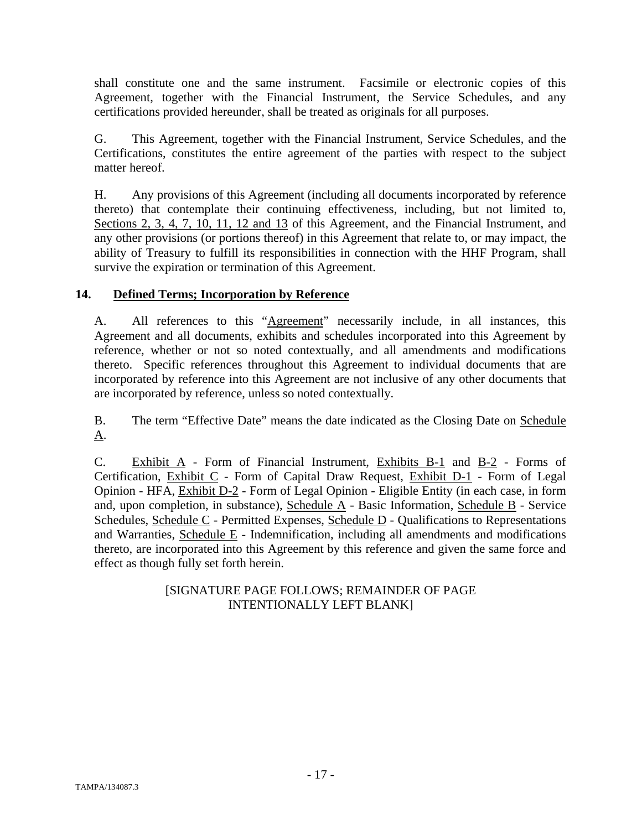shall constitute one and the same instrument. Facsimile or electronic copies of this Agreement, together with the Financial Instrument, the Service Schedules, and any certifications provided hereunder, shall be treated as originals for all purposes.

G. This Agreement, together with the Financial Instrument, Service Schedules, and the Certifications, constitutes the entire agreement of the parties with respect to the subject matter hereof.

H. Any provisions of this Agreement (including all documents incorporated by reference thereto) that contemplate their continuing effectiveness, including, but not limited to, Sections 2, 3, 4, 7, 10, 11, 12 and 13 of this Agreement, and the Financial Instrument, and any other provisions (or portions thereof) in this Agreement that relate to, or may impact, the ability of Treasury to fulfill its responsibilities in connection with the HHF Program, shall survive the expiration or termination of this Agreement.

# **14. Defined Terms; Incorporation by Reference**

A. All references to this "Agreement" necessarily include, in all instances, this Agreement and all documents, exhibits and schedules incorporated into this Agreement by reference, whether or not so noted contextually, and all amendments and modifications thereto. Specific references throughout this Agreement to individual documents that are incorporated by reference into this Agreement are not inclusive of any other documents that are incorporated by reference, unless so noted contextually.

B. The term "Effective Date" means the date indicated as the Closing Date on Schedule A.

C. Exhibit A - Form of Financial Instrument, Exhibits B-1 and B-2 - Forms of Certification, Exhibit C - Form of Capital Draw Request, Exhibit D-1 - Form of Legal Opinion - HFA, Exhibit D-2 - Form of Legal Opinion - Eligible Entity (in each case, in form and, upon completion, in substance), Schedule A - Basic Information, Schedule B - Service Schedules, Schedule C - Permitted Expenses, Schedule D - Qualifications to Representations and Warranties, Schedule E - Indemnification, including all amendments and modifications thereto, are incorporated into this Agreement by this reference and given the same force and effect as though fully set forth herein.

# [SIGNATURE PAGE FOLLOWS; REMAINDER OF PAGE INTENTIONALLY LEFT BLANK]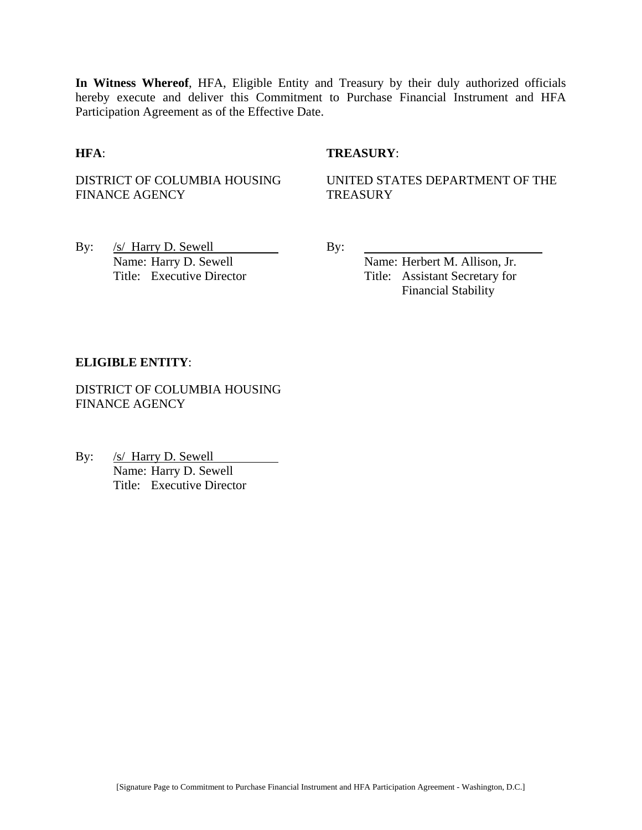**In Witness Whereof**, HFA, Eligible Entity and Treasury by their duly authorized officials hereby execute and deliver this Commitment to Purchase Financial Instrument and HFA Participation Agreement as of the Effective Date.

#### **HFA**: **TREASURY**:

DISTRICT OF COLUMBIA HOUSING FINANCE AGENCY

UNITED STATES DEPARTMENT OF THE **TREASURY** 

By: <u>/s/ Harry D. Sewell</u> By:<br>Name: Harry D. Sewell By:

Name: Herbert M. Allison, Jr. Title: Executive Director Title: Assistant Secretary for Financial Stability

#### **ELIGIBLE ENTITY**:

DISTRICT OF COLUMBIA HOUSING FINANCE AGENCY

By: /s/ Harry D. Sewell Name: Harry D. Sewell Title: Executive Director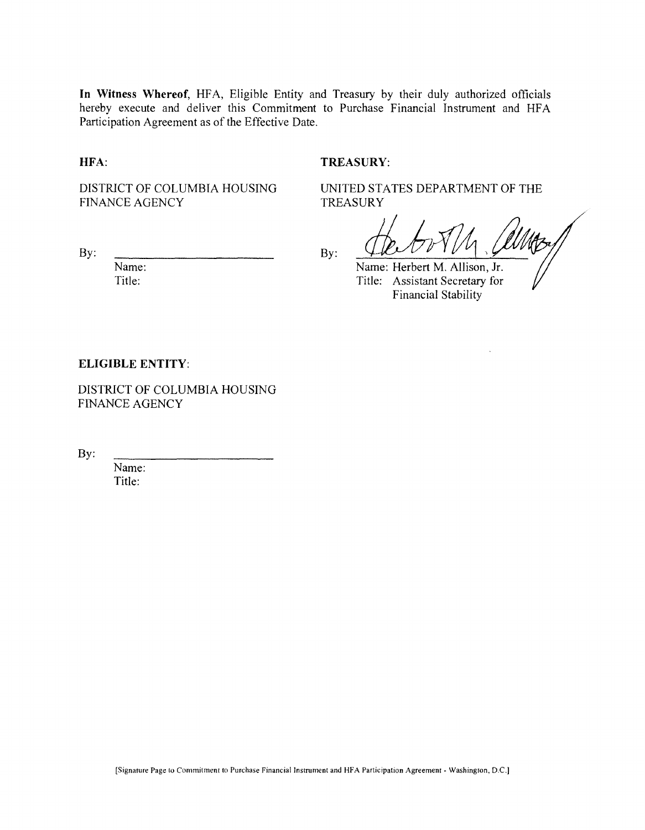**In Witness Whereof,** HFA, Eligible Entity and Treasury by their duly authorized officials hereby execute and deliver this Commitment to Purchase Financial Instrument and HFA Participation Agreement as of the Effective Date.

**HFA:**

#### **TREASURY:**

DISTRICT OF COLUMBIA HOUSING FINANCE AGENCY

TREASURY

By:

Name: Title:

By:

Name: Herbert M. Allison, Jr. Title: Assistant Secretary for Financial Stability

UNITED STATES DEPARTMENT OF THE

#### **ELIGIBLE ENTITY:**

DISTRICT OF COLUMBIA HOUSING FINANCE AGENCY

By:

Name: Title: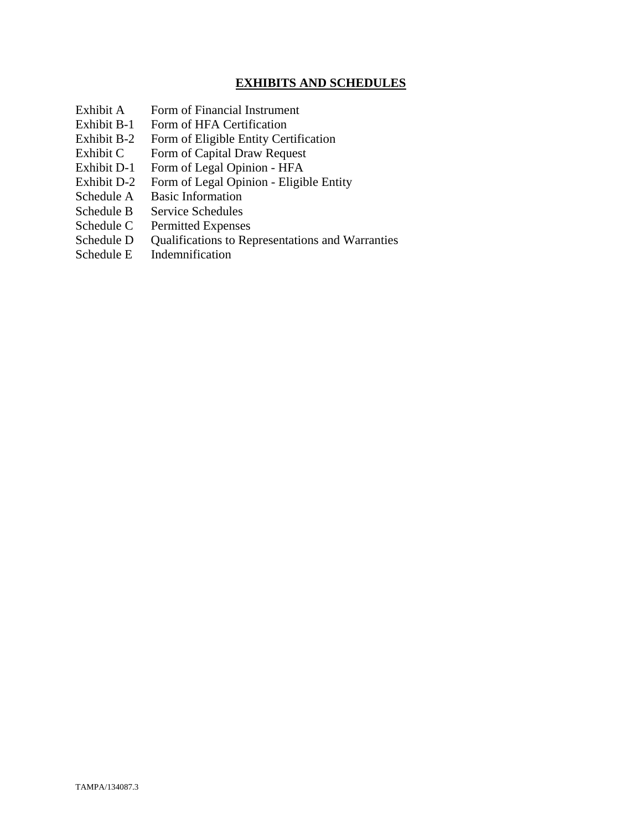# **EXHIBITS AND SCHEDULES**

- Exhibit A Form of Financial Instrument
- Exhibit B-1 Form of HFA Certification
- Exhibit B-2 Form of Eligible Entity Certification
- Exhibit C Form of Capital Draw Request
- Exhibit D-1 Form of Legal Opinion HFA
- Exhibit D-2 Form of Legal Opinion Eligible Entity
- Schedule A Basic Information
- Schedule B Service Schedules
- Schedule C Permitted Expenses
- Schedule D Qualifications to Representations and Warranties
- Schedule E Indemnification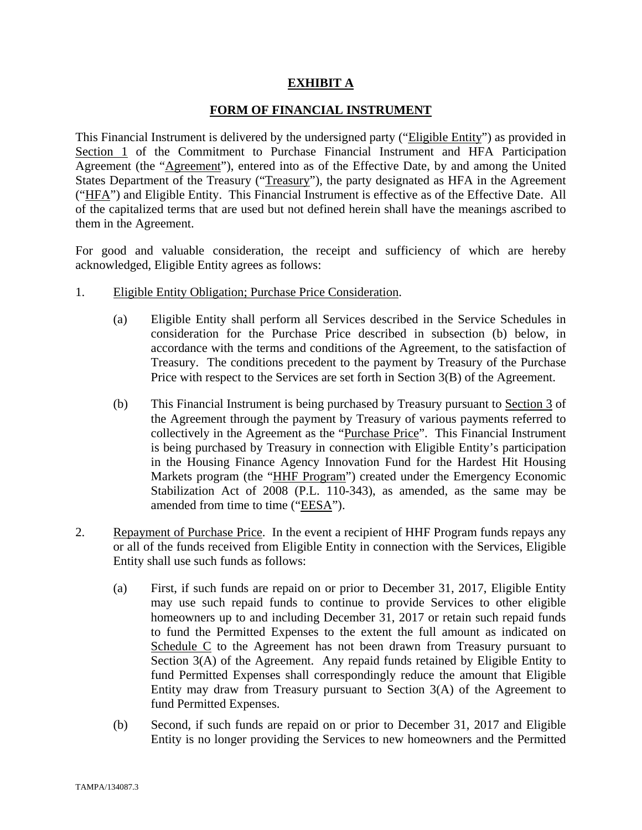## **EXHIBIT A**

## **FORM OF FINANCIAL INSTRUMENT**

This Financial Instrument is delivered by the undersigned party ("Eligible Entity") as provided in Section 1 of the Commitment to Purchase Financial Instrument and HFA Participation Agreement (the "Agreement"), entered into as of the Effective Date, by and among the United States Department of the Treasury ("Treasury"), the party designated as HFA in the Agreement ("HFA") and Eligible Entity. This Financial Instrument is effective as of the Effective Date. All of the capitalized terms that are used but not defined herein shall have the meanings ascribed to them in the Agreement.

For good and valuable consideration, the receipt and sufficiency of which are hereby acknowledged, Eligible Entity agrees as follows:

- 1. Eligible Entity Obligation; Purchase Price Consideration.
	- (a) Eligible Entity shall perform all Services described in the Service Schedules in consideration for the Purchase Price described in subsection (b) below, in accordance with the terms and conditions of the Agreement, to the satisfaction of Treasury. The conditions precedent to the payment by Treasury of the Purchase Price with respect to the Services are set forth in Section 3(B) of the Agreement.
	- (b) This Financial Instrument is being purchased by Treasury pursuant to Section 3 of the Agreement through the payment by Treasury of various payments referred to collectively in the Agreement as the "Purchase Price". This Financial Instrument is being purchased by Treasury in connection with Eligible Entity's participation in the Housing Finance Agency Innovation Fund for the Hardest Hit Housing Markets program (the "HHF Program") created under the Emergency Economic Stabilization Act of 2008 (P.L. 110-343), as amended, as the same may be amended from time to time ("EESA").
- 2. Repayment of Purchase Price. In the event a recipient of HHF Program funds repays any or all of the funds received from Eligible Entity in connection with the Services, Eligible Entity shall use such funds as follows:
	- (a) First, if such funds are repaid on or prior to December 31, 2017, Eligible Entity may use such repaid funds to continue to provide Services to other eligible homeowners up to and including December 31, 2017 or retain such repaid funds to fund the Permitted Expenses to the extent the full amount as indicated on Schedule C to the Agreement has not been drawn from Treasury pursuant to Section 3(A) of the Agreement. Any repaid funds retained by Eligible Entity to fund Permitted Expenses shall correspondingly reduce the amount that Eligible Entity may draw from Treasury pursuant to Section 3(A) of the Agreement to fund Permitted Expenses.
	- (b) Second, if such funds are repaid on or prior to December 31, 2017 and Eligible Entity is no longer providing the Services to new homeowners and the Permitted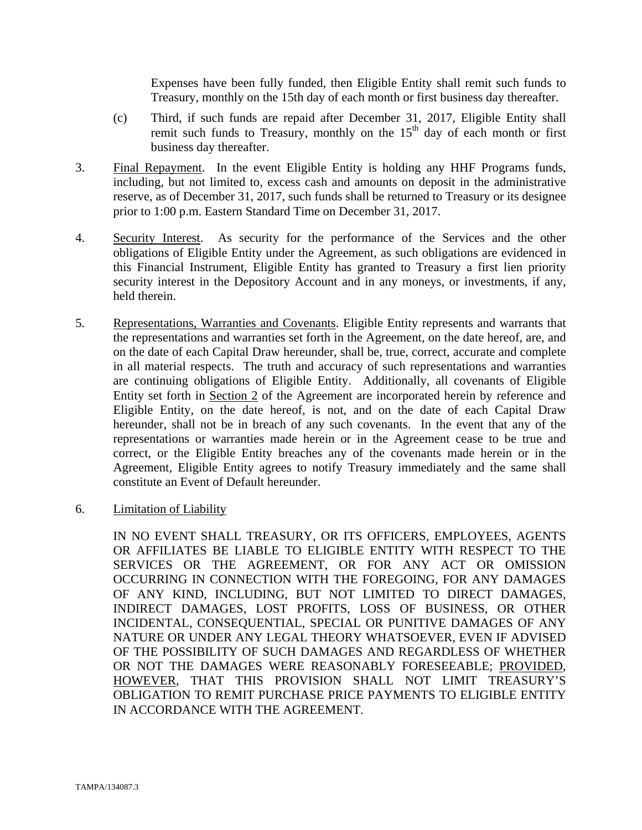Expenses have been fully funded, then Eligible Entity shall remit such funds to Treasury, monthly on the 15th day of each month or first business day thereafter.

- (c) Third, if such funds are repaid after December 31, 2017, Eligible Entity shall remit such funds to Treasury, monthly on the  $15<sup>th</sup>$  day of each month or first business day thereafter.
- 3. Final Repayment. In the event Eligible Entity is holding any HHF Programs funds, including, but not limited to, excess cash and amounts on deposit in the administrative reserve, as of December 31, 2017, such funds shall be returned to Treasury or its designee prior to 1:00 p.m. Eastern Standard Time on December 31, 2017.
- 4. Security Interest. As security for the performance of the Services and the other obligations of Eligible Entity under the Agreement, as such obligations are evidenced in this Financial Instrument, Eligible Entity has granted to Treasury a first lien priority security interest in the Depository Account and in any moneys, or investments, if any, held therein.
- 5. Representations, Warranties and Covenants. Eligible Entity represents and warrants that the representations and warranties set forth in the Agreement, on the date hereof, are, and on the date of each Capital Draw hereunder, shall be, true, correct, accurate and complete in all material respects. The truth and accuracy of such representations and warranties are continuing obligations of Eligible Entity. Additionally, all covenants of Eligible Entity set forth in Section 2 of the Agreement are incorporated herein by reference and Eligible Entity, on the date hereof, is not, and on the date of each Capital Draw hereunder, shall not be in breach of any such covenants. In the event that any of the representations or warranties made herein or in the Agreement cease to be true and correct, or the Eligible Entity breaches any of the covenants made herein or in the Agreement, Eligible Entity agrees to notify Treasury immediately and the same shall constitute an Event of Default hereunder.
- 6. Limitation of Liability

IN NO EVENT SHALL TREASURY, OR ITS OFFICERS, EMPLOYEES, AGENTS OR AFFILIATES BE LIABLE TO ELIGIBLE ENTITY WITH RESPECT TO THE SERVICES OR THE AGREEMENT, OR FOR ANY ACT OR OMISSION OCCURRING IN CONNECTION WITH THE FOREGOING, FOR ANY DAMAGES OF ANY KIND, INCLUDING, BUT NOT LIMITED TO DIRECT DAMAGES, INDIRECT DAMAGES, LOST PROFITS, LOSS OF BUSINESS, OR OTHER INCIDENTAL, CONSEQUENTIAL, SPECIAL OR PUNITIVE DAMAGES OF ANY NATURE OR UNDER ANY LEGAL THEORY WHATSOEVER, EVEN IF ADVISED OF THE POSSIBILITY OF SUCH DAMAGES AND REGARDLESS OF WHETHER OR NOT THE DAMAGES WERE REASONABLY FORESEEABLE; PROVIDED, HOWEVER, THAT THIS PROVISION SHALL NOT LIMIT TREASURY'S OBLIGATION TO REMIT PURCHASE PRICE PAYMENTS TO ELIGIBLE ENTITY IN ACCORDANCE WITH THE AGREEMENT.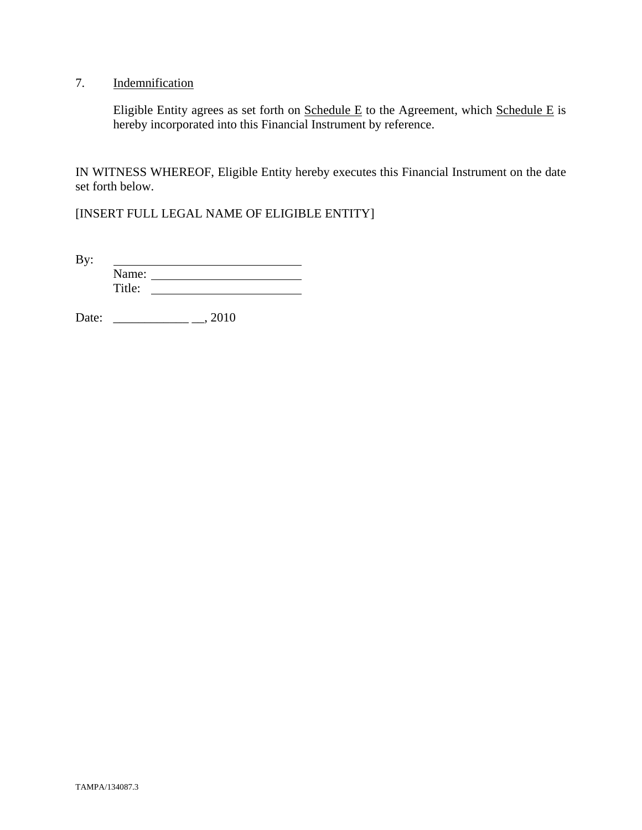# 7. Indemnification

Eligible Entity agrees as set forth on  $S$ chedule E to the Agreement, which  $S$ chedule E is hereby incorporated into this Financial Instrument by reference.

IN WITNESS WHEREOF, Eligible Entity hereby executes this Financial Instrument on the date set forth below.

[INSERT FULL LEGAL NAME OF ELIGIBLE ENTITY]

By: <u> 1989 - Johann Barbara, martin a</u> Name: Title:

Date: \_\_\_\_\_\_\_\_\_\_\_\_ \_\_, 2010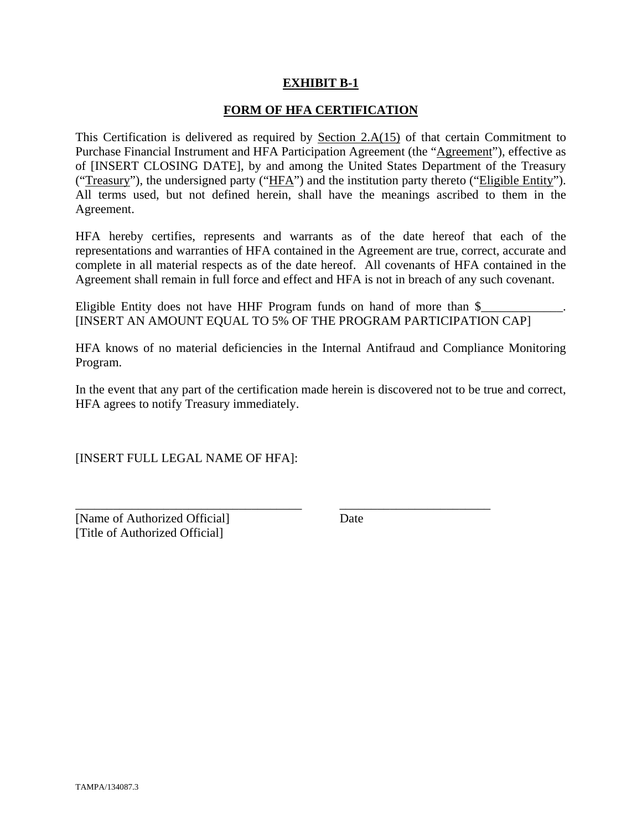## **EXHIBIT B-1**

#### **FORM OF HFA CERTIFICATION**

This Certification is delivered as required by Section  $2.A(15)$  of that certain Commitment to Purchase Financial Instrument and HFA Participation Agreement (the "Agreement"), effective as of [INSERT CLOSING DATE], by and among the United States Department of the Treasury ("Treasury"), the undersigned party ("HFA") and the institution party thereto ("Eligible Entity"). All terms used, but not defined herein, shall have the meanings ascribed to them in the Agreement.

HFA hereby certifies, represents and warrants as of the date hereof that each of the representations and warranties of HFA contained in the Agreement are true, correct, accurate and complete in all material respects as of the date hereof. All covenants of HFA contained in the Agreement shall remain in full force and effect and HFA is not in breach of any such covenant.

Eligible Entity does not have HHF Program funds on hand of more than  $\frac{1}{2}$ [INSERT AN AMOUNT EQUAL TO 5% OF THE PROGRAM PARTICIPATION CAP]

HFA knows of no material deficiencies in the Internal Antifraud and Compliance Monitoring Program.

In the event that any part of the certification made herein is discovered not to be true and correct, HFA agrees to notify Treasury immediately.

\_\_\_\_\_\_\_\_\_\_\_\_\_\_\_\_\_\_\_\_\_\_\_\_\_\_\_\_\_\_\_\_\_\_\_\_ \_\_\_\_\_\_\_\_\_\_\_\_\_\_\_\_\_\_\_\_\_\_\_\_

[INSERT FULL LEGAL NAME OF HFA]:

[Name of Authorized Official] Date [Title of Authorized Official]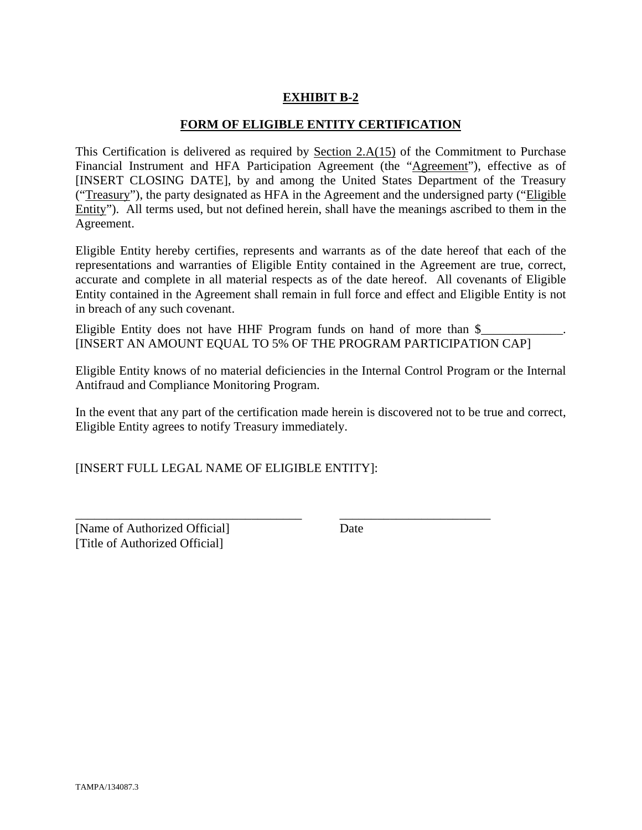# **EXHIBIT B-2**

#### **FORM OF ELIGIBLE ENTITY CERTIFICATION**

This Certification is delivered as required by Section 2.A(15) of the Commitment to Purchase Financial Instrument and HFA Participation Agreement (the "Agreement"), effective as of [INSERT CLOSING DATE], by and among the United States Department of the Treasury ("Treasury"), the party designated as HFA in the Agreement and the undersigned party ("Eligible Entity"). All terms used, but not defined herein, shall have the meanings ascribed to them in the Agreement.

Eligible Entity hereby certifies, represents and warrants as of the date hereof that each of the representations and warranties of Eligible Entity contained in the Agreement are true, correct, accurate and complete in all material respects as of the date hereof. All covenants of Eligible Entity contained in the Agreement shall remain in full force and effect and Eligible Entity is not in breach of any such covenant.

Eligible Entity does not have HHF Program funds on hand of more than  $\$ [INSERT AN AMOUNT EQUAL TO 5% OF THE PROGRAM PARTICIPATION CAP]

Eligible Entity knows of no material deficiencies in the Internal Control Program or the Internal Antifraud and Compliance Monitoring Program.

In the event that any part of the certification made herein is discovered not to be true and correct, Eligible Entity agrees to notify Treasury immediately.

\_\_\_\_\_\_\_\_\_\_\_\_\_\_\_\_\_\_\_\_\_\_\_\_\_\_\_\_\_\_\_\_\_\_\_\_ \_\_\_\_\_\_\_\_\_\_\_\_\_\_\_\_\_\_\_\_\_\_\_\_

[INSERT FULL LEGAL NAME OF ELIGIBLE ENTITY]:

[Name of Authorized Official] Date [Title of Authorized Official]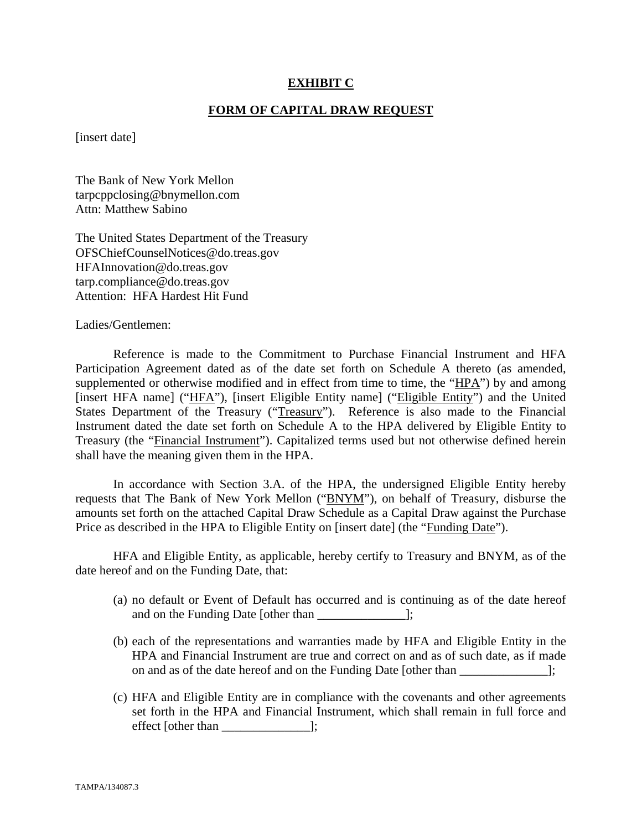#### **EXHIBIT C**

#### **FORM OF CAPITAL DRAW REQUEST**

[insert date]

The Bank of New York Mellon tarpcppclosing@bnymellon.com Attn: Matthew Sabino

The United States Department of the Treasury OFSChiefCounselNotices@do.treas.gov HFAInnovation@do.treas.gov tarp.compliance@do.treas.gov Attention: HFA Hardest Hit Fund

Ladies/Gentlemen:

 Reference is made to the Commitment to Purchase Financial Instrument and HFA Participation Agreement dated as of the date set forth on Schedule A thereto (as amended, supplemented or otherwise modified and in effect from time to time, the "HPA") by and among [insert HFA name] ("HFA"), [insert Eligible Entity name] ("Eligible Entity") and the United States Department of the Treasury ("Treasury"). Reference is also made to the Financial Instrument dated the date set forth on Schedule A to the HPA delivered by Eligible Entity to Treasury (the "Financial Instrument"). Capitalized terms used but not otherwise defined herein shall have the meaning given them in the HPA.

 In accordance with Section 3.A. of the HPA, the undersigned Eligible Entity hereby requests that The Bank of New York Mellon ("BNYM"), on behalf of Treasury, disburse the amounts set forth on the attached Capital Draw Schedule as a Capital Draw against the Purchase Price as described in the HPA to Eligible Entity on [insert date] (the "Funding Date").

 HFA and Eligible Entity, as applicable, hereby certify to Treasury and BNYM, as of the date hereof and on the Funding Date, that:

- (a) no default or Event of Default has occurred and is continuing as of the date hereof and on the Funding Date [other than  $\Box$ ];
- (b) each of the representations and warranties made by HFA and Eligible Entity in the HPA and Financial Instrument are true and correct on and as of such date, as if made on and as of the date hereof and on the Funding Date [other than ];
- (c) HFA and Eligible Entity are in compliance with the covenants and other agreements set forth in the HPA and Financial Instrument, which shall remain in full force and effect [other than \_\_\_\_\_\_\_\_\_\_\_\_\_\_];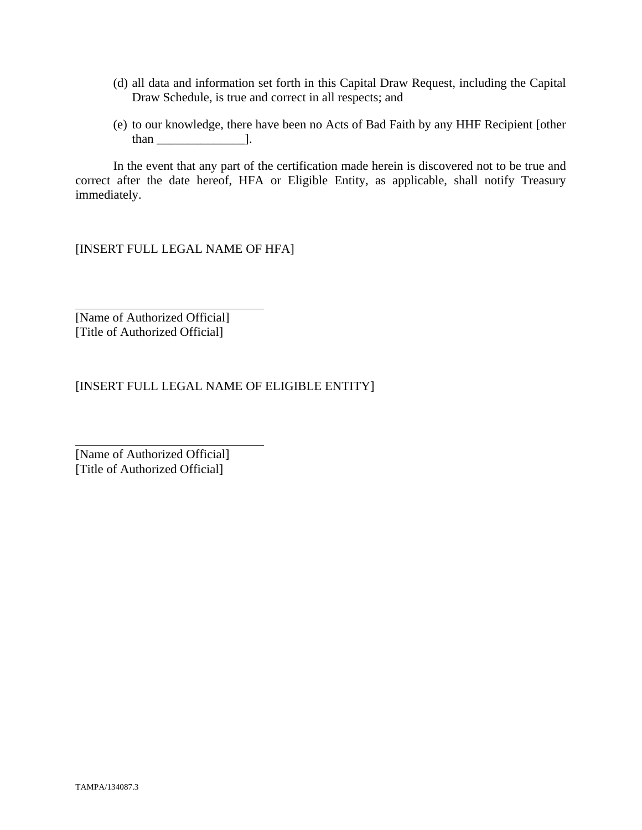- (d) all data and information set forth in this Capital Draw Request, including the Capital Draw Schedule, is true and correct in all respects; and
- (e) to our knowledge, there have been no Acts of Bad Faith by any HHF Recipient [other than  $\qquad$  ].

 In the event that any part of the certification made herein is discovered not to be true and correct after the date hereof, HFA or Eligible Entity, as applicable, shall notify Treasury immediately.

[INSERT FULL LEGAL NAME OF HFA]

[Name of Authorized Official] [Title of Authorized Official]

 $\overline{a}$ 

l

[INSERT FULL LEGAL NAME OF ELIGIBLE ENTITY]

[Name of Authorized Official] [Title of Authorized Official]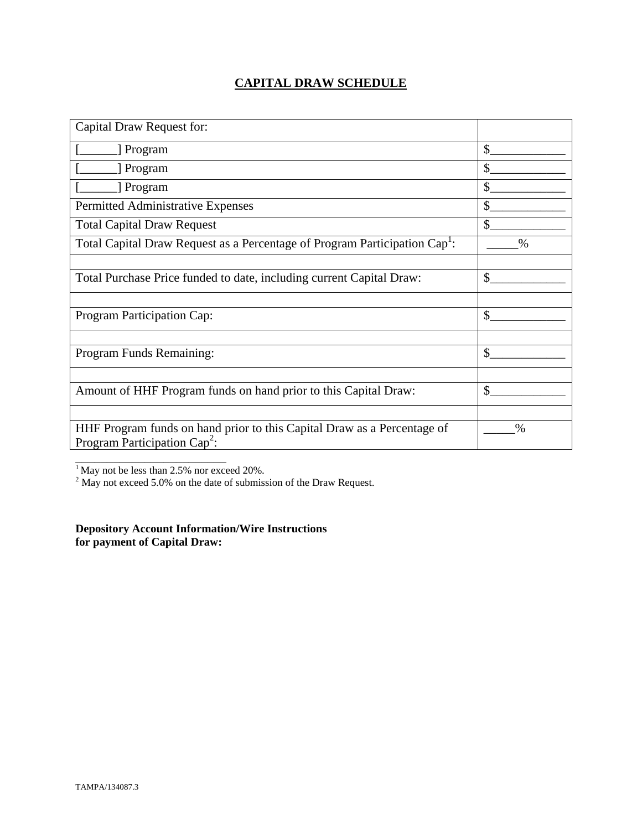# **CAPITAL DRAW SCHEDULE**

| Capital Draw Request for:                                                                                  |               |
|------------------------------------------------------------------------------------------------------------|---------------|
| [ Program                                                                                                  | \$            |
| [ Program                                                                                                  | \$            |
| Program                                                                                                    | \$            |
| Permitted Administrative Expenses                                                                          | \$            |
| <b>Total Capital Draw Request</b>                                                                          | $\mathbb{S}$  |
| Total Capital Draw Request as a Percentage of Program Participation Cap <sup>1</sup> :                     | $\frac{0}{0}$ |
|                                                                                                            |               |
| Total Purchase Price funded to date, including current Capital Draw:                                       | \$            |
|                                                                                                            |               |
| Program Participation Cap:                                                                                 | \$            |
|                                                                                                            |               |
| Program Funds Remaining:                                                                                   | $\mathcal{S}$ |
|                                                                                                            |               |
| Amount of HHF Program funds on hand prior to this Capital Draw:                                            | \$            |
|                                                                                                            |               |
| HHF Program funds on hand prior to this Capital Draw as a Percentage of<br>Program Participation $Cap^2$ : | $\%$          |
|                                                                                                            |               |

<sup>1</sup> May not be less than 2.5% nor exceed 20%.<br><sup>2</sup> May not exceed 5.0% on the date of submission of the Draw Request.

**Depository Account Information/Wire Instructions for payment of Capital Draw:**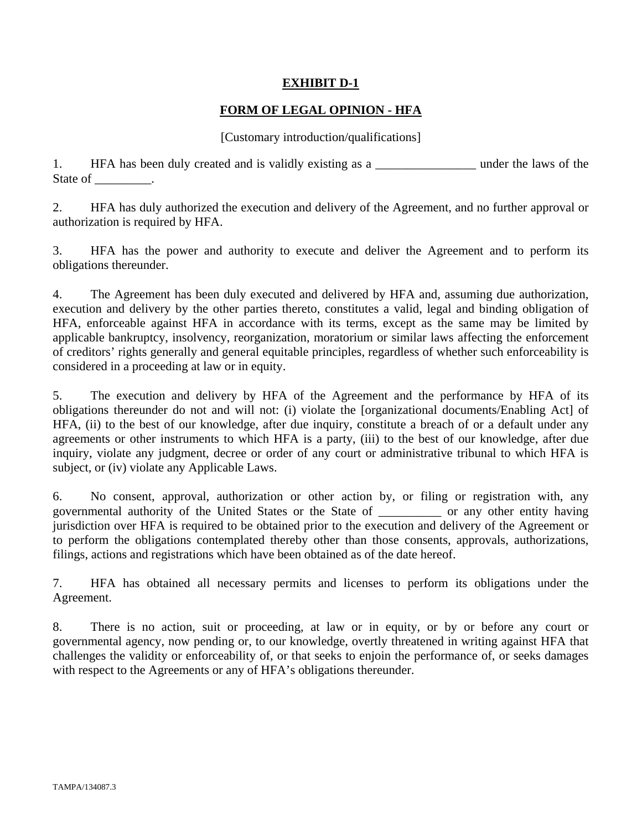# **EXHIBIT D-1**

# **FORM OF LEGAL OPINION - HFA**

#### [Customary introduction/qualifications]

1. HFA has been duly created and is validly existing as a \_\_\_\_\_\_\_\_\_\_\_\_\_\_\_\_\_\_\_\_ under the laws of the State of \_\_\_\_\_\_\_\_\_.

2. HFA has duly authorized the execution and delivery of the Agreement, and no further approval or authorization is required by HFA.

3. HFA has the power and authority to execute and deliver the Agreement and to perform its obligations thereunder.

4. The Agreement has been duly executed and delivered by HFA and, assuming due authorization, execution and delivery by the other parties thereto, constitutes a valid, legal and binding obligation of HFA, enforceable against HFA in accordance with its terms, except as the same may be limited by applicable bankruptcy, insolvency, reorganization, moratorium or similar laws affecting the enforcement of creditors' rights generally and general equitable principles, regardless of whether such enforceability is considered in a proceeding at law or in equity.

5. The execution and delivery by HFA of the Agreement and the performance by HFA of its obligations thereunder do not and will not: (i) violate the [organizational documents/Enabling Act] of HFA, (ii) to the best of our knowledge, after due inquiry, constitute a breach of or a default under any agreements or other instruments to which HFA is a party, (iii) to the best of our knowledge, after due inquiry, violate any judgment, decree or order of any court or administrative tribunal to which HFA is subject, or (iv) violate any Applicable Laws.

6. No consent, approval, authorization or other action by, or filing or registration with, any governmental authority of the United States or the State of \_\_\_\_\_\_\_\_\_\_ or any other entity having jurisdiction over HFA is required to be obtained prior to the execution and delivery of the Agreement or to perform the obligations contemplated thereby other than those consents, approvals, authorizations, filings, actions and registrations which have been obtained as of the date hereof.

7. HFA has obtained all necessary permits and licenses to perform its obligations under the Agreement.

8. There is no action, suit or proceeding, at law or in equity, or by or before any court or governmental agency, now pending or, to our knowledge, overtly threatened in writing against HFA that challenges the validity or enforceability of, or that seeks to enjoin the performance of, or seeks damages with respect to the Agreements or any of HFA's obligations thereunder.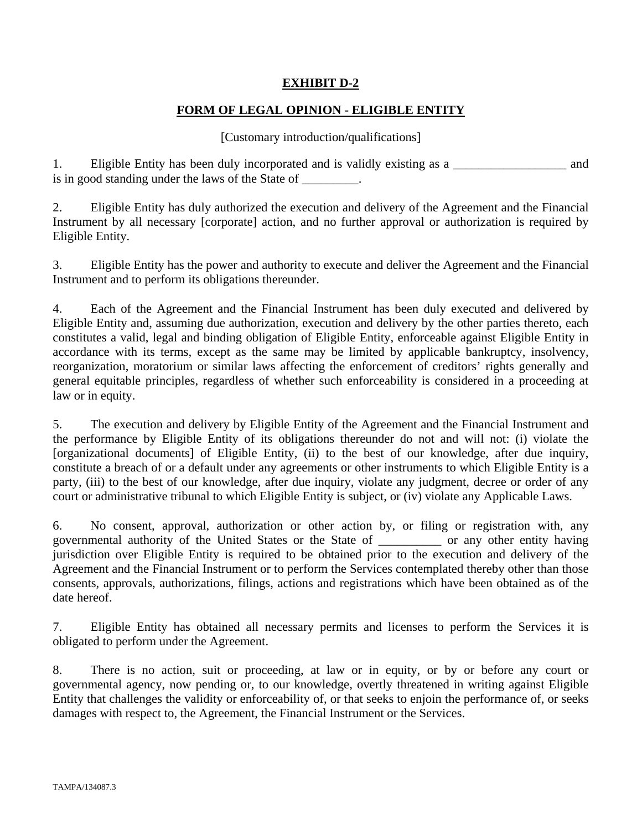# **EXHIBIT D-2**

# **FORM OF LEGAL OPINION - ELIGIBLE ENTITY**

## [Customary introduction/qualifications]

1. Eligible Entity has been duly incorporated and is validly existing as a \_\_\_\_\_\_\_\_\_\_\_\_\_\_\_\_\_\_ and is in good standing under the laws of the State of \_\_\_\_\_\_\_\_.

2. Eligible Entity has duly authorized the execution and delivery of the Agreement and the Financial Instrument by all necessary [corporate] action, and no further approval or authorization is required by Eligible Entity.

3. Eligible Entity has the power and authority to execute and deliver the Agreement and the Financial Instrument and to perform its obligations thereunder.

4. Each of the Agreement and the Financial Instrument has been duly executed and delivered by Eligible Entity and, assuming due authorization, execution and delivery by the other parties thereto, each constitutes a valid, legal and binding obligation of Eligible Entity, enforceable against Eligible Entity in accordance with its terms, except as the same may be limited by applicable bankruptcy, insolvency, reorganization, moratorium or similar laws affecting the enforcement of creditors' rights generally and general equitable principles, regardless of whether such enforceability is considered in a proceeding at law or in equity.

5. The execution and delivery by Eligible Entity of the Agreement and the Financial Instrument and the performance by Eligible Entity of its obligations thereunder do not and will not: (i) violate the [organizational documents] of Eligible Entity, (ii) to the best of our knowledge, after due inquiry, constitute a breach of or a default under any agreements or other instruments to which Eligible Entity is a party, (iii) to the best of our knowledge, after due inquiry, violate any judgment, decree or order of any court or administrative tribunal to which Eligible Entity is subject, or (iv) violate any Applicable Laws.

6. No consent, approval, authorization or other action by, or filing or registration with, any governmental authority of the United States or the State of \_\_\_\_\_\_\_\_\_\_ or any other entity having jurisdiction over Eligible Entity is required to be obtained prior to the execution and delivery of the Agreement and the Financial Instrument or to perform the Services contemplated thereby other than those consents, approvals, authorizations, filings, actions and registrations which have been obtained as of the date hereof.

7. Eligible Entity has obtained all necessary permits and licenses to perform the Services it is obligated to perform under the Agreement.

8. There is no action, suit or proceeding, at law or in equity, or by or before any court or governmental agency, now pending or, to our knowledge, overtly threatened in writing against Eligible Entity that challenges the validity or enforceability of, or that seeks to enjoin the performance of, or seeks damages with respect to, the Agreement, the Financial Instrument or the Services.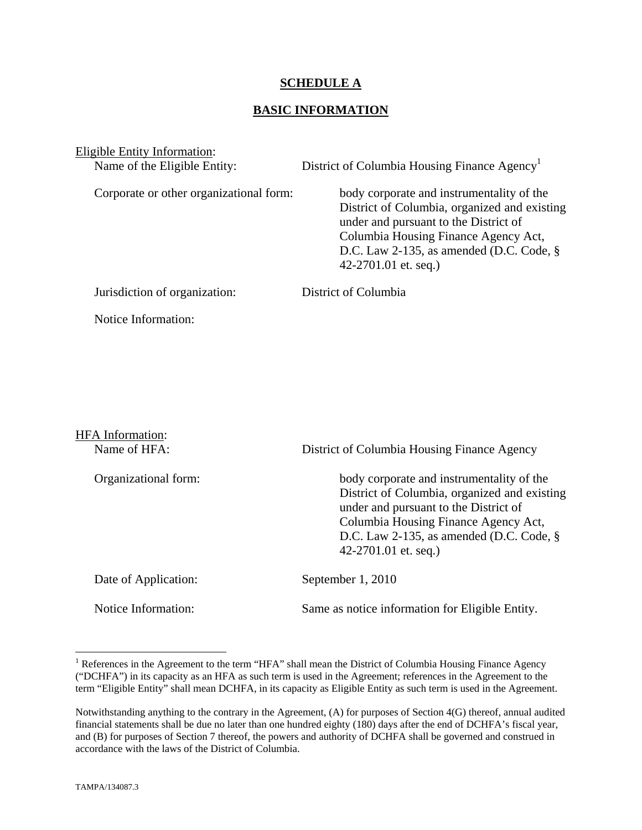## **SCHEDULE A**

## **BASIC INFORMATION**

Eligible Entity Information:<br>Name of the Eligible Entity:

District of Columbia Housing Finance Agency<sup>1</sup>

Corporate or other organizational form: body corporate and instrumentality of the District of Columbia, organized and existing under and pursuant to the District of Columbia Housing Finance Agency Act, D.C. Law 2-135, as amended (D.C. Code, § 42-2701.01 et. seq.)

Jurisdiction of organization: District of Columbia

Notice Information:

HFA Information:

Name of HFA: District of Columbia Housing Finance Agency

Organizational form: body corporate and instrumentality of the District of Columbia, organized and existing under and pursuant to the District of Columbia Housing Finance Agency Act, D.C. Law 2-135, as amended (D.C. Code, § 42-2701.01 et. seq.)

Date of Application: September 1, 2010 Notice Information: Same as notice information for Eligible Entity.

 $\overline{a}$ 

<sup>&</sup>lt;sup>1</sup> References in the Agreement to the term "HFA" shall mean the District of Columbia Housing Finance Agency ("DCHFA") in its capacity as an HFA as such term is used in the Agreement; references in the Agreement to the term "Eligible Entity" shall mean DCHFA, in its capacity as Eligible Entity as such term is used in the Agreement.

Notwithstanding anything to the contrary in the Agreement, (A) for purposes of Section 4(G) thereof, annual audited financial statements shall be due no later than one hundred eighty (180) days after the end of DCHFA's fiscal year, and (B) for purposes of Section 7 thereof, the powers and authority of DCHFA shall be governed and construed in accordance with the laws of the District of Columbia.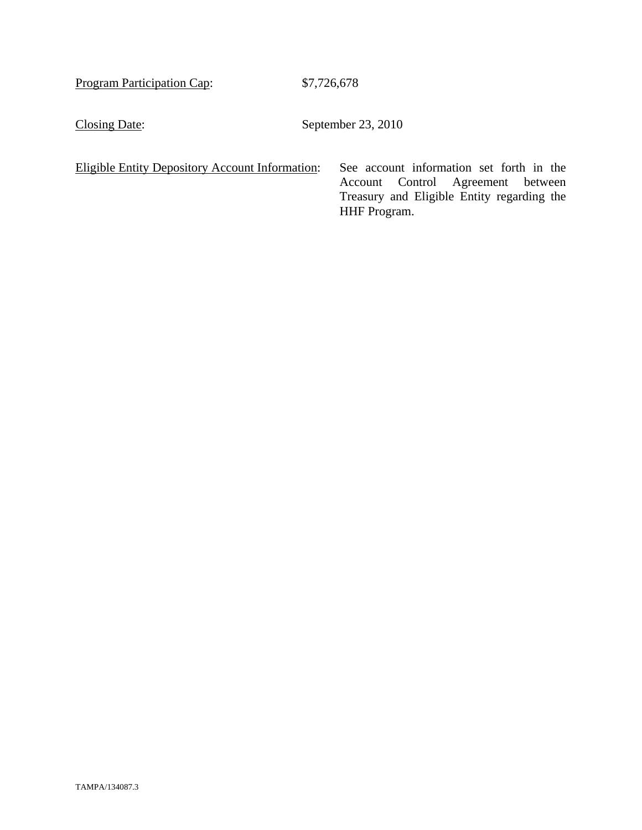Program Participation Cap: \$7,726,678

Closing Date: September 23, 2010

Eligible Entity Depository Account Information: See account information set forth in the

Account Control Agreement between Treasury and Eligible Entity regarding the HHF Program.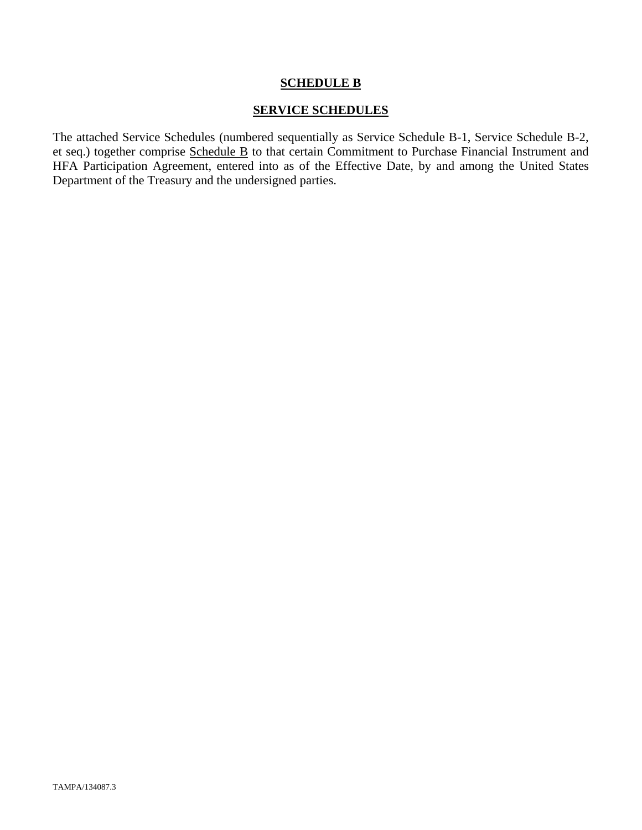#### **SCHEDULE B**

#### **SERVICE SCHEDULES**

The attached Service Schedules (numbered sequentially as Service Schedule B-1, Service Schedule B-2, et seq.) together comprise Schedule B to that certain Commitment to Purchase Financial Instrument and HFA Participation Agreement, entered into as of the Effective Date, by and among the United States Department of the Treasury and the undersigned parties.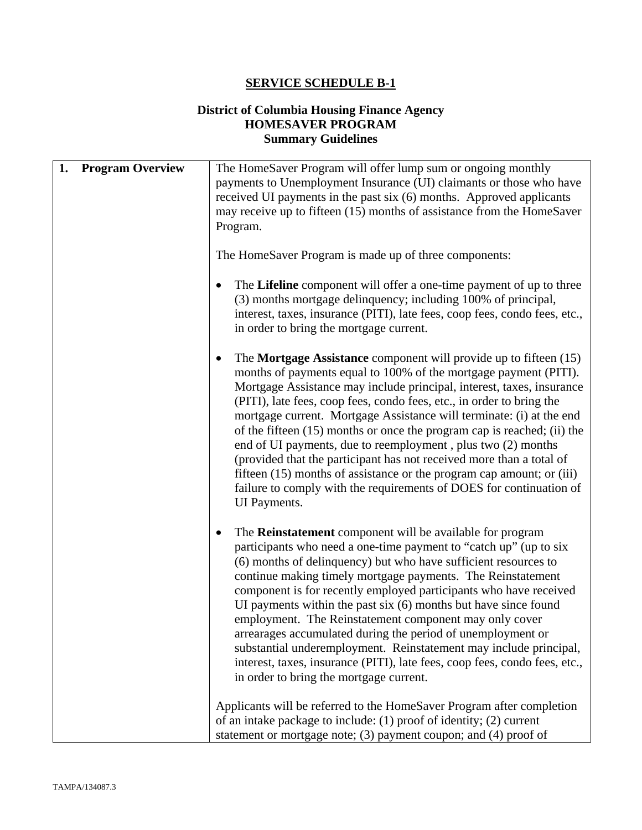# **SERVICE SCHEDULE B-1**

# **District of Columbia Housing Finance Agency HOMESAVER PROGRAM Summary Guidelines**

| 1. | <b>Program Overview</b> | The HomeSaver Program will offer lump sum or ongoing monthly<br>payments to Unemployment Insurance (UI) claimants or those who have<br>received UI payments in the past six (6) months. Approved applicants<br>may receive up to fifteen (15) months of assistance from the HomeSaver<br>Program.                                                                                                                                                                                                                                                                                                                                                                                                                                                                       |
|----|-------------------------|-------------------------------------------------------------------------------------------------------------------------------------------------------------------------------------------------------------------------------------------------------------------------------------------------------------------------------------------------------------------------------------------------------------------------------------------------------------------------------------------------------------------------------------------------------------------------------------------------------------------------------------------------------------------------------------------------------------------------------------------------------------------------|
|    |                         | The HomeSaver Program is made up of three components:                                                                                                                                                                                                                                                                                                                                                                                                                                                                                                                                                                                                                                                                                                                   |
|    |                         | The Lifeline component will offer a one-time payment of up to three<br>(3) months mortgage delinquency; including 100% of principal,<br>interest, taxes, insurance (PITI), late fees, coop fees, condo fees, etc.,<br>in order to bring the mortgage current.                                                                                                                                                                                                                                                                                                                                                                                                                                                                                                           |
|    |                         | The <b>Mortgage Assistance</b> component will provide up to fifteen $(15)$<br>٠<br>months of payments equal to 100% of the mortgage payment (PITI).<br>Mortgage Assistance may include principal, interest, taxes, insurance<br>(PITI), late fees, coop fees, condo fees, etc., in order to bring the<br>mortgage current. Mortgage Assistance will terminate: (i) at the end<br>of the fifteen (15) months or once the program cap is reached; (ii) the<br>end of UI payments, due to reemployment, plus two (2) months<br>(provided that the participant has not received more than a total of<br>fifteen (15) months of assistance or the program cap amount; or (iii)<br>failure to comply with the requirements of DOES for continuation of<br><b>UI</b> Payments. |
|    |                         | The <b>Reinstatement</b> component will be available for program<br>$\bullet$<br>participants who need a one-time payment to "catch up" (up to six<br>(6) months of delinquency) but who have sufficient resources to<br>continue making timely mortgage payments. The Reinstatement<br>component is for recently employed participants who have received<br>UI payments within the past $six(6)$ months but have since found<br>employment. The Reinstatement component may only cover<br>arrearages accumulated during the period of unemployment or<br>substantial underemployment. Reinstatement may include principal,<br>interest, taxes, insurance (PITI), late fees, coop fees, condo fees, etc.,<br>in order to bring the mortgage current.                    |
|    |                         | Applicants will be referred to the HomeSaver Program after completion<br>of an intake package to include: (1) proof of identity; (2) current<br>statement or mortgage note; $(3)$ payment coupon; and $(4)$ proof of                                                                                                                                                                                                                                                                                                                                                                                                                                                                                                                                                    |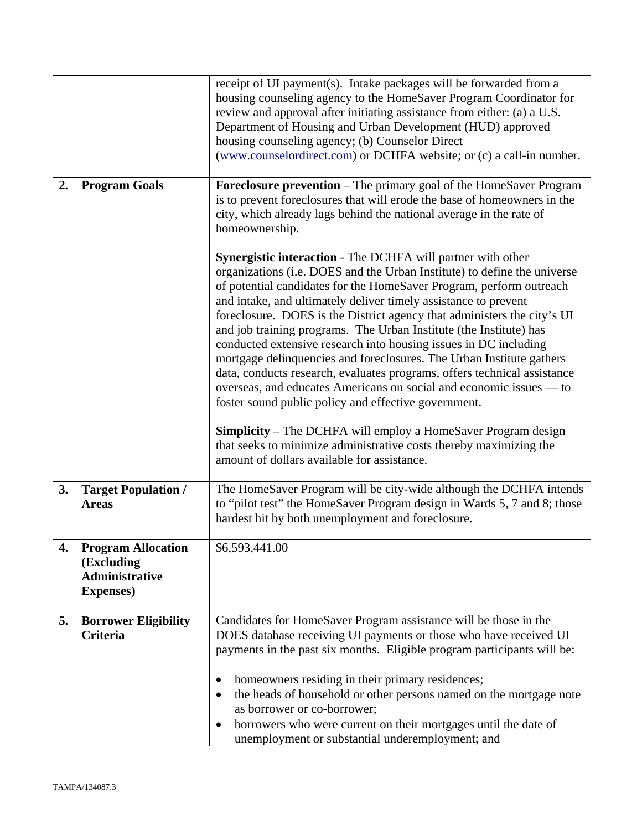|                |                                                                                       | receipt of UI payment(s). Intake packages will be forwarded from a<br>housing counseling agency to the HomeSaver Program Coordinator for<br>review and approval after initiating assistance from either: (a) a U.S.<br>Department of Housing and Urban Development (HUD) approved<br>housing counseling agency; (b) Counselor Direct<br>(www.counselordirect.com) or DCHFA website; or (c) a call-in number.                                                                                                                                                                                                                                                                                                                                                                                                                                                                                                                                                                                  |  |
|----------------|---------------------------------------------------------------------------------------|-----------------------------------------------------------------------------------------------------------------------------------------------------------------------------------------------------------------------------------------------------------------------------------------------------------------------------------------------------------------------------------------------------------------------------------------------------------------------------------------------------------------------------------------------------------------------------------------------------------------------------------------------------------------------------------------------------------------------------------------------------------------------------------------------------------------------------------------------------------------------------------------------------------------------------------------------------------------------------------------------|--|
| $\mathbf{2}$ . | <b>Program Goals</b>                                                                  | <b>Foreclosure prevention</b> – The primary goal of the HomeSaver Program<br>is to prevent foreclosures that will erode the base of homeowners in the<br>city, which already lags behind the national average in the rate of<br>homeownership.                                                                                                                                                                                                                                                                                                                                                                                                                                                                                                                                                                                                                                                                                                                                                |  |
|                |                                                                                       | <b>Synergistic interaction</b> - The DCHFA will partner with other<br>organizations (i.e. DOES and the Urban Institute) to define the universe<br>of potential candidates for the HomeSaver Program, perform outreach<br>and intake, and ultimately deliver timely assistance to prevent<br>foreclosure. DOES is the District agency that administers the city's UI<br>and job training programs. The Urban Institute (the Institute) has<br>conducted extensive research into housing issues in DC including<br>mortgage delinquencies and foreclosures. The Urban Institute gathers<br>data, conducts research, evaluates programs, offers technical assistance<br>overseas, and educates Americans on social and economic issues — to<br>foster sound public policy and effective government.<br><b>Simplicity</b> – The DCHFA will employ a HomeSaver Program design<br>that seeks to minimize administrative costs thereby maximizing the<br>amount of dollars available for assistance. |  |
| 3.             | <b>Target Population /</b><br><b>Areas</b>                                            | The HomeSaver Program will be city-wide although the DCHFA intends<br>to "pilot test" the HomeSaver Program design in Wards 5, 7 and 8; those<br>hardest hit by both unemployment and foreclosure.                                                                                                                                                                                                                                                                                                                                                                                                                                                                                                                                                                                                                                                                                                                                                                                            |  |
| 4.             | <b>Program Allocation</b><br>(Excluding<br><b>Administrative</b><br><b>Expenses</b> ) | \$6,593,441.00                                                                                                                                                                                                                                                                                                                                                                                                                                                                                                                                                                                                                                                                                                                                                                                                                                                                                                                                                                                |  |
| 5.             | <b>Borrower Eligibility</b><br><b>Criteria</b>                                        | Candidates for HomeSaver Program assistance will be those in the<br>DOES database receiving UI payments or those who have received UI<br>payments in the past six months. Eligible program participants will be:<br>homeowners residing in their primary residences;<br>the heads of household or other persons named on the mortgage note<br>as borrower or co-borrower;<br>borrowers who were current on their mortgages until the date of<br>unemployment or substantial underemployment; and                                                                                                                                                                                                                                                                                                                                                                                                                                                                                              |  |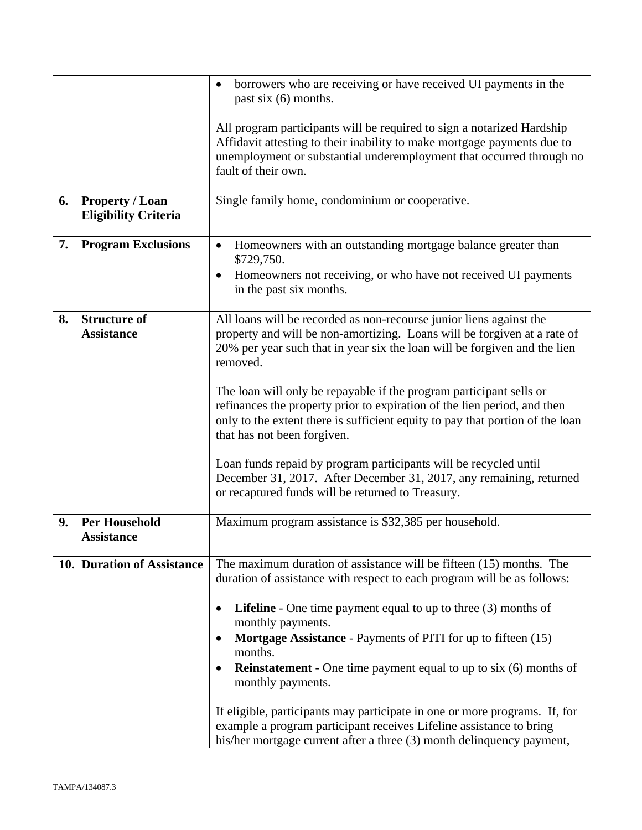|    |                                                | borrowers who are receiving or have received UI payments in the<br>past six $(6)$ months.                                                                                                                                                                       |  |
|----|------------------------------------------------|-----------------------------------------------------------------------------------------------------------------------------------------------------------------------------------------------------------------------------------------------------------------|--|
|    |                                                |                                                                                                                                                                                                                                                                 |  |
|    |                                                | All program participants will be required to sign a notarized Hardship<br>Affidavit attesting to their inability to make mortgage payments due to<br>unemployment or substantial underemployment that occurred through no                                       |  |
|    |                                                | fault of their own.                                                                                                                                                                                                                                             |  |
| 6. | Property / Loan<br><b>Eligibility Criteria</b> | Single family home, condominium or cooperative.                                                                                                                                                                                                                 |  |
| 7. | <b>Program Exclusions</b>                      | Homeowners with an outstanding mortgage balance greater than<br>\$729,750.                                                                                                                                                                                      |  |
|    |                                                | Homeowners not receiving, or who have not received UI payments<br>in the past six months.                                                                                                                                                                       |  |
| 8. | <b>Structure of</b><br><b>Assistance</b>       | All loans will be recorded as non-recourse junior liens against the<br>property and will be non-amortizing. Loans will be forgiven at a rate of<br>20% per year such that in year six the loan will be forgiven and the lien<br>removed.                        |  |
|    |                                                | The loan will only be repayable if the program participant sells or<br>refinances the property prior to expiration of the lien period, and then<br>only to the extent there is sufficient equity to pay that portion of the loan<br>that has not been forgiven. |  |
|    |                                                | Loan funds repaid by program participants will be recycled until<br>December 31, 2017. After December 31, 2017, any remaining, returned<br>or recaptured funds will be returned to Treasury.                                                                    |  |
| 9. | <b>Per Household</b><br><b>Assistance</b>      | Maximum program assistance is \$32,385 per household.                                                                                                                                                                                                           |  |
|    | 10. Duration of Assistance                     | The maximum duration of assistance will be fifteen (15) months. The<br>duration of assistance with respect to each program will be as follows:                                                                                                                  |  |
|    |                                                | <b>Lifeline</b> - One time payment equal to up to three $(3)$ months of<br>monthly payments.                                                                                                                                                                    |  |
|    |                                                | Mortgage Assistance - Payments of PITI for up to fifteen (15)<br>months.                                                                                                                                                                                        |  |
|    |                                                | <b>Reinstatement</b> - One time payment equal to up to six (6) months of<br>monthly payments.                                                                                                                                                                   |  |
|    |                                                | If eligible, participants may participate in one or more programs. If, for<br>example a program participant receives Lifeline assistance to bring<br>his/her mortgage current after a three (3) month delinquency payment,                                      |  |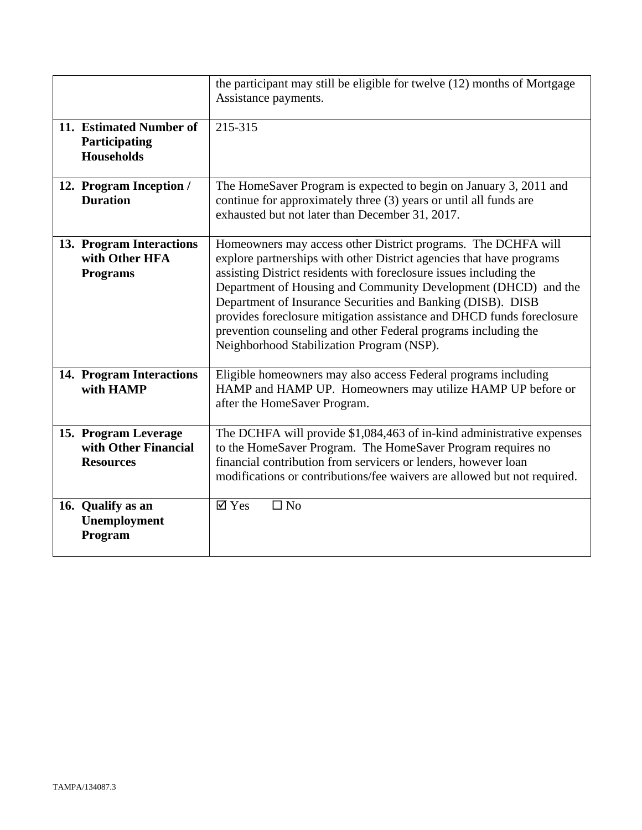|                                                                  | the participant may still be eligible for twelve (12) months of Mortgage<br>Assistance payments.                                                                                                                                                                                                                                                                                                                                                                                                                                     |
|------------------------------------------------------------------|--------------------------------------------------------------------------------------------------------------------------------------------------------------------------------------------------------------------------------------------------------------------------------------------------------------------------------------------------------------------------------------------------------------------------------------------------------------------------------------------------------------------------------------|
| 11. Estimated Number of<br>Participating<br><b>Households</b>    | 215-315                                                                                                                                                                                                                                                                                                                                                                                                                                                                                                                              |
| 12. Program Inception /<br><b>Duration</b>                       | The HomeSaver Program is expected to begin on January 3, 2011 and<br>continue for approximately three (3) years or until all funds are<br>exhausted but not later than December 31, 2017.                                                                                                                                                                                                                                                                                                                                            |
| 13. Program Interactions<br>with Other HFA<br><b>Programs</b>    | Homeowners may access other District programs. The DCHFA will<br>explore partnerships with other District agencies that have programs<br>assisting District residents with foreclosure issues including the<br>Department of Housing and Community Development (DHCD) and the<br>Department of Insurance Securities and Banking (DISB). DISB<br>provides foreclosure mitigation assistance and DHCD funds foreclosure<br>prevention counseling and other Federal programs including the<br>Neighborhood Stabilization Program (NSP). |
| 14. Program Interactions<br>with HAMP                            | Eligible homeowners may also access Federal programs including<br>HAMP and HAMP UP. Homeowners may utilize HAMP UP before or<br>after the HomeSaver Program.                                                                                                                                                                                                                                                                                                                                                                         |
| 15. Program Leverage<br>with Other Financial<br><b>Resources</b> | The DCHFA will provide \$1,084,463 of in-kind administrative expenses<br>to the HomeSaver Program. The HomeSaver Program requires no<br>financial contribution from servicers or lenders, however loan<br>modifications or contributions/fee waivers are allowed but not required.                                                                                                                                                                                                                                                   |
| 16. Qualify as an<br>Unemployment<br>Program                     | $\overline{\mathbf{z}}$ Yes<br>$\Box$ No                                                                                                                                                                                                                                                                                                                                                                                                                                                                                             |